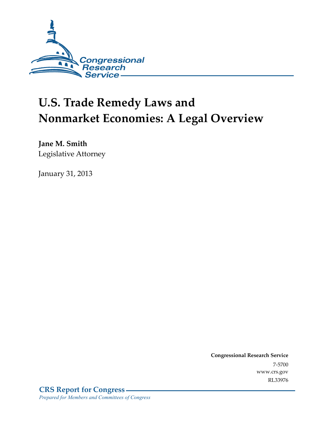

# **U.S. Trade Remedy Laws and Nonmarket Economies: A Legal Overview**

**Jane M. Smith**  Legislative Attorney

January 31, 2013

**Congressional Research Service**  7-5700 www.crs.gov RL33976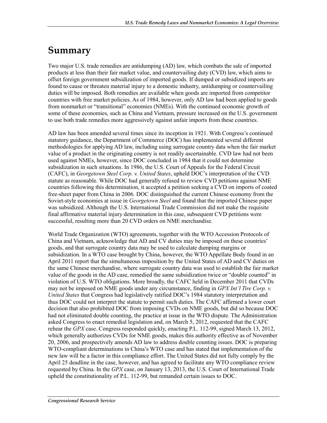## **Summary**

Two major U.S. trade remedies are antidumping (AD) law, which combats the sale of imported products at less than their fair market value, and countervailing duty (CVD) law, which aims to offset foreign government subsidization of imported goods. If dumped or subsidized imports are found to cause or threaten material injury to a domestic industry, antidumping or countervailing duties will be imposed. Both remedies are available when goods are imported from competitor countries with free market policies. As of 1984, however, only AD law had been applied to goods from nonmarket or "transitional" economies (NMEs). With the continued economic growth of some of these economies, such as China and Vietnam, pressure increased on the U.S. government to use both trade remedies more aggressively against unfair imports from these countries.

AD law has been amended several times since its inception in 1921. With Congress's continued statutory guidance, the Department of Commerce (DOC) has implemented several different methodologies for applying AD law, including using surrogate country data when the fair market value of a product in the originating country is not readily ascertainable. CVD law had not been used against NMEs, however, since DOC concluded in 1984 that it could not determine subsidization in such situations. In 1986, the U.S. Court of Appeals for the Federal Circuit (CAFC), in *Georgetown Steel Corp. v. United States*, upheld DOC's interpretation of the CVD statute as reasonable. While DOC had generally refused to review CVD petitions against NME countries following this determination, it accepted a petition seeking a CVD on imports of coated free-sheet paper from China in 2006. DOC distinguished the current Chinese economy from the Soviet-style economies at issue in *Georgetown Steel* and found that the imported Chinese paper was subsidized. Although the U.S. International Trade Commission did not make the requisite final affirmative material injury determination in this case, subsequent CVD petitions were successful, resulting more than 20 CVD orders on NME merchandise.

World Trade Organization (WTO) agreements, together with the WTO Accession Protocols of China and Vietnam, acknowledge that AD and CV duties may be imposed on these countries' goods, and that surrogate country data may be used to calculate dumping margins or subsidization. In a WTO case brought by China, however, the WTO Appellate Body found in an April 2011 report that the simultaneous imposition by the United States of AD and CV duties on the same Chinese merchandise, where surrogate country data was used to establish the fair market value of the goods in the AD case, remedied the same subsidization twice or "double counted" in violation of U.S. WTO obligations. More broadly, the CAFC held in December 2011 that CVDs may not be imposed on NME goods under any circumstance, finding in *GPX Int'l Tire Corp. v. United States* that Congress had legislatively ratified DOC's 1984 statutory interpretation and thus DOC could not interpret the statute to permit such duties. The CAFC affirmed a lower court decision that also prohibited DOC from imposing CVDs on NME goods, but did so because DOC had not eliminated double counting, the practice at issue in the WTO dispute. The Administration asked Congress to enact remedial legislation and, on March 5, 2012, requested that the CAFC rehear the *GPX* case. Congress responded quickly, enacting P.L. 112-99, signed March 13, 2012, which generally authorizes CVDs for NME goods, makes this authority effective as of November 20, 2006, and prospectively amends AD law to address double counting issues. DOC is preparing WTO-compliant determinations in China's WTO case and has stated that implementation of the new law will be a factor in this compliance effort. The United States did not fully comply by the April 25 deadline in the case, however, and has agreed to facilitate any WTO compliance review requested by China. In the *GPX* case, on January 13, 2013, the U.S. Court of International Trade upheld the constitutionality of P.L. 112-99, but remanded certain issues to DOC.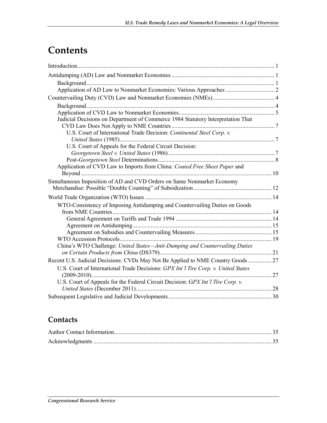## **Contents**

| Application of AD Law to Nonmarket Economies: Various Approaches  2                |  |
|------------------------------------------------------------------------------------|--|
|                                                                                    |  |
|                                                                                    |  |
|                                                                                    |  |
| Judicial Decisions on Department of Commerce 1984 Statutory Interpretation That    |  |
|                                                                                    |  |
| U.S. Court of International Trade Decision: Continental Steel Corp. v.             |  |
|                                                                                    |  |
| U.S. Court of Appeals for the Federal Circuit Decision:                            |  |
|                                                                                    |  |
|                                                                                    |  |
| Application of CVD Law to Imports from China: Coated Free Sheet Paper and          |  |
| Simultaneous Imposition of AD and CVD Orders on Same Nonmarket Economy             |  |
|                                                                                    |  |
|                                                                                    |  |
|                                                                                    |  |
| WTO-Consistency of Imposing Antidumping and Countervailing Duties on Goods         |  |
|                                                                                    |  |
|                                                                                    |  |
|                                                                                    |  |
|                                                                                    |  |
| China's WTO Challenge: United States-Anti-Dumping and Countervailing Duties        |  |
|                                                                                    |  |
| Recent U.S. Judicial Decisions: CVDs May Not Be Applied to NME Country Goods  27   |  |
| U.S. Court of International Trade Decisions: GPX Int'l Tire Corp. v. United States |  |
|                                                                                    |  |
| U.S. Court of Appeals for the Federal Circuit Decision: GPX Int'l Tire Corp. v.    |  |
|                                                                                    |  |
|                                                                                    |  |

## **Contacts**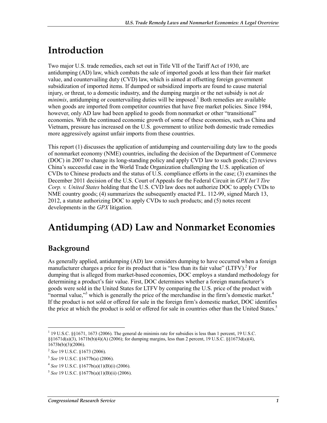## **Introduction**

Two major U.S. trade remedies, each set out in Title VII of the Tariff Act of 1930, are antidumping (AD) law, which combats the sale of imported goods at less than their fair market value, and countervailing duty (CVD) law, which is aimed at offsetting foreign government subsidization of imported items. If dumped or subsidized imports are found to cause material injury, or threat, to a domestic industry, and the dumping margin or the net subsidy is not *de*   $minimis$ , antidumping or countervailing duties will be imposed.<sup>1</sup> Both remedies are available when goods are imported from competitor countries that have free market policies. Since 1984, however, only AD law had been applied to goods from nonmarket or other "transitional" economies. With the continued economic growth of some of these economies, such as China and Vietnam, pressure has increased on the U.S. government to utilize both domestic trade remedies more aggressively against unfair imports from these countries.

This report (1) discusses the application of antidumping and countervailing duty law to the goods of nonmarket economy (NME) countries, including the decision of the Department of Commerce (DOC) in 2007 to change its long-standing policy and apply CVD law to such goods; (2) reviews China's successful case in the World Trade Organization challenging the U.S. application of CVDs to Chinese products and the status of U.S. compliance efforts in the case; (3) examines the December 2011 decision of the U.S. Court of Appeals for the Federal Circuit in *GPX Int'l Tire Corp. v. United States* holding that the U.S. CVD law does not authorize DOC to apply CVDs to NME country goods; (4) summarizes the subsequently enacted P.L. 112-99, signed March 13, 2012, a statute authorizing DOC to apply CVDs to such products; and (5) notes recent developments in the *GPX* litigation.

## **Antidumping (AD) Law and Nonmarket Economies**

### **Background**

As generally applied, antidumping (AD) law considers dumping to have occurred when a foreign manufacturer charges a price for its product that is "less than its fair value" (LTFV).<sup>2</sup> For dumping that is alleged from market-based economies, DOC employs a standard methodology for determining a product's fair value. First, DOC determines whether a foreign manufacturer's goods were sold in the United States for LTFV by comparing the U.S. price of the product with "normal value,"<sup>3</sup> which is generally the price of the merchandise in the firm's domestic market.<sup>4</sup> If the product is not sold or offered for sale in the foreign firm's domestic market, DOC identifies the price at which the product is sold or offered for sale in countries other than the United States.<sup>5</sup>

<sup>1</sup> <sup>1</sup> 19 U.S.C. §§1671, 1673 (2006). The general de minimis rate for subsidies is less than 1 percent, 19 U.S.C.  $\S(1671d(a)(3), 1671b(b)(4)(A) (2006)$ ; for dumping margins, less than 2 percent, 19 U.S.C.  $\S(1673d(a)(4),$  $1673b(b)(3)(2006)$ .

<sup>2</sup> *See* 19 U.S.C. §1673 (2006).

<sup>3</sup> *See* 19 U.S.C. §1677b(a) (2006).

<sup>4</sup> *See* 19 U.S.C. §1677b(a)(1)(B)(i) (2006).

<sup>5</sup> *See* 19 U.S.C. §1677b(a)(1)(B)(ii) (2006).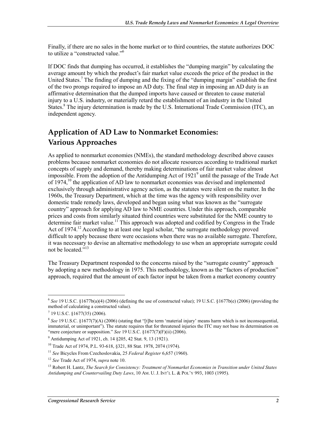Finally, if there are no sales in the home market or to third countries, the statute authorizes DOC to utilize a "constructed value."6

If DOC finds that dumping has occurred, it establishes the "dumping margin" by calculating the average amount by which the product's fair market value exceeds the price of the product in the United States.<sup>7</sup> The finding of dumping and the fixing of the "dumping margin" establish the first of the two prongs required to impose an AD duty. The final step in imposing an AD duty is an affirmative determination that the dumped imports have caused or threaten to cause material injury to a U.S. industry, or materially retard the establishment of an industry in the United States.<sup>8</sup> The injury determination is made by the U.S. International Trade Commission (ITC), an independent agency.

## **Application of AD Law to Nonmarket Economies: Various Approaches**

As applied to nonmarket economies (NMEs), the standard methodology described above causes problems because nonmarket economies do not allocate resources according to traditional market concepts of supply and demand, thereby making determinations of fair market value almost impossible. From the adoption of the Antidumping Act of 1921<sup>9</sup> until the passage of the Trade Act of  $1974<sup>10</sup>$ , the application of AD law to nonmarket economies was devised and implemented exclusively through administrative agency action, as the statutes were silent on the matter. In the 1960s, the Treasury Department, which at the time was the agency with responsibility over domestic trade remedy laws, developed and began using what was known as the "surrogate country" approach for applying AD law to NME countries. Under this approach, comparable prices and costs from similarly situated third countries were substituted for the NME country to determine fair market value.<sup>11</sup> This approach was adopted and codified by Congress in the Trade Act of 1974.<sup>12</sup> According to at least one legal scholar, "the surrogate methodology proved difficult to apply because there were occasions when there was no available surrogate. Therefore, it was necessary to devise an alternative methodology to use when an appropriate surrogate could not be located."<sup>13</sup>

The Treasury Department responded to the concerns raised by the "surrogate country" approach by adopting a new methodology in 1975. This methodology, known as the "factors of production" approach, required that the amount of each factor input be taken from a market economy country

 $6$  *See* 19 U.S.C. §1677b(a)(4) (2006) (defining the use of constructed value); 19 U.S.C. §1677b(e) (2006) (providing the method of calculating a constructed value).

<sup>7</sup> 19 U.S.C. §1677(35) (2006).

<sup>8</sup> *See* 19 U.S.C. §1677(7)(A) (2006) (stating that "[t]he term 'material injury' means harm which is not inconsequential, immaterial, or unimportant"). The statute requires that for threatened injuries the ITC may not base its determination on "mere conjecture or supposition." *See* 19 U.S.C. §1677(7)(F)(ii) (2006).

<sup>9</sup> Antidumping Act of 1921, ch. 14 §205, 42 Stat. 9, 13 (1921).

<sup>10</sup> Trade Act of 1974, P.L. 93-618, §321, 88 Stat. 1978, 2074 (1974).

<sup>11</sup> *See* Bicycles From Czechoslovakia, 25 *Federal Register* 6,657 (1960).

<sup>12</sup> *See* Trade Act of 1974, *supra* note 10.

<sup>13</sup> Robert H. Lantz, *The Search for Consistency: Treatment of Nonmarket Economies in Transition under United States Antidumping and Countervailing Duty Laws*, 10 AM. U. J. INT'L L. & POL'Y 993, 1003 (1995).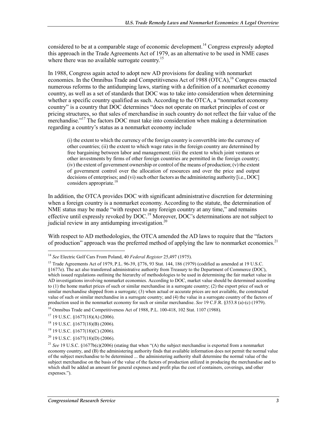considered to be at a comparable stage of economic development.<sup>14</sup> Congress expressly adopted this approach in the Trade Agreements Act of 1979, as an alternative to be used in NME cases where there was no available surrogate country.<sup>15</sup>

In 1988, Congress again acted to adopt new AD provisions for dealing with nonmarket economies. In the Omnibus Trade and Competitiveness Act of 1988 (OTCA), <sup>16</sup> Congress enacted numerous reforms to the antidumping laws, starting with a definition of a nonmarket economy country, as well as a set of standards that DOC was to take into consideration when determining whether a specific country qualified as such. According to the OTCA, a "nonmarket economy country" is a country that DOC determines "does not operate on market principles of cost or pricing structures, so that sales of merchandise in such country do not reflect the fair value of the merchandise."<sup>17</sup> The factors DOC must take into consideration when making a determination regarding a country's status as a nonmarket economy include

(i) the extent to which the currency of the foreign country is convertible into the currency of other countries; (ii) the extent to which wage rates in the foreign country are determined by free bargaining between labor and management; (iii) the extent to which joint ventures or other investments by firms of other foreign countries are permitted in the foreign country; (iv) the extent of government ownership or control of the means of production; (v) the extent of government control over the allocation of resources and over the price and output decisions of enterprises; and (vi) such other factors as the administering authority [i.e., DOC] considers appropriate. $18$ 

In addition, the OTCA provides DOC with significant administrative discretion for determining when a foreign country is a nonmarket economy. According to the statute, the determination of NME status may be made "with respect to any foreign country at any time," and remains effective until expressly revoked by DOC.<sup>19</sup> Moreover, DOC's determinations are not subject to judicial review in any antidumping investigation.<sup>20</sup>

With respect to AD methodologies, the OTCA amended the AD laws to require that the "factors of production" approach was the preferred method of applying the law to nonmarket economies.<sup>21</sup>

<sup>1</sup> <sup>14</sup> *See* Electric Golf Cars From Poland, 40 *Federal Register* 25,497 (1975).

<sup>&</sup>lt;sup>15</sup> Trade Agreements Act of 1979, P.L. 96-39, §776, 93 Stat. 144, 186 (1979) (codified as amended at 19 U.S.C. §1677e). The act also transferred administrative authority from Treasury to the Department of Commerce (DOC), which issued regulations outlining the hierarchy of methodologies to be used in determining the fair market value in AD investigations involving nonmarket economies. According to DOC, market value should be determined according to (1) the home market prices of such or similar merchandise in a surrogate country; (2) the export price of such or similar merchandise shipped from a surrogate; (3) when actual or accurate prices are not available, the constructed value of such or similar merchandise in a surrogate country; and (4) the value in a surrogate country of the factors of production used in the nonmarket economy for such or similar merchandise. *See* 19 C.F.R. §353.8 (a)-(c) (1979). 16 Omnibus Trade and Competitiveness Act of 1988, P.L. 100-418, 102 Stat. 1107 (1988).

<sup>17 19</sup> U.S.C. §1677(18)(A) (2006).

<sup>18 19</sup> U.S.C. §1677(18)(B) (2006).

<sup>19 19</sup> U.S.C. §1677(18)(C) (2006).

 $20$  19 U.S.C.  $$1677(18)(D)$  (2006).

<sup>&</sup>lt;sup>21</sup> *See* 19 U.S.C. §1677b(c)(2006) (stating that when "(A) the subject merchandise is exported from a nonmarket economy country, and (B) the administering authority finds that available information does not permit the normal value of the subject merchandise to be determined ... the administering authority shall determine the normal value of the subject merchandise on the basis of the value of the factors of production utilized in producing the merchandise and to which shall be added an amount for general expenses and profit plus the cost of containers, coverings, and other expenses.").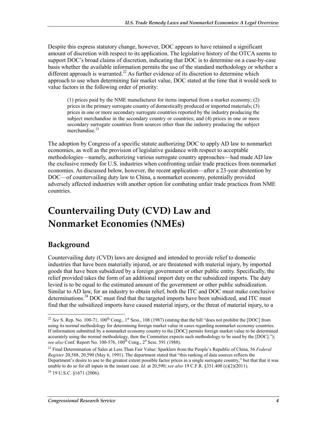Despite this express statutory change, however, DOC appears to have retained a significant amount of discretion with respect to its application. The legislative history of the OTCA seems to support DOC's broad claims of discretion, indicating that DOC is to determine on a case-by-case basis whether the available information permits the use of the standard methodology or whether a different approach is warranted.<sup>22</sup> As further evidence of its discretion to determine which approach to use when determining fair market value, DOC stated at the time that it would seek to value factors in the following order of priority:

(1) prices paid by the NME manufacturer for items imported from a market economy; (2) prices in the primary surrogate country of domestically produced or imported materials; (3) prices in one or more secondary surrogate countries reported by the industry producing the subject merchandise in the secondary country or countries; and (4) prices in one or more secondary surrogate countries from sources other than the industry producing the subject merchandise.<sup>23</sup>

The adoption by Congress of a specific statute authorizing DOC to apply AD law to nonmarket economies, as well as the provision of legislative guidance with respect to acceptable methodologies—namely, authorizing various surrogate country approaches—had made AD law the exclusive remedy for U.S. industries when confronting unfair trade practices from nonmarket economies. As discussed below, however, the recent application—after a 23-year abstention by DOC—of countervailing duty law to China, a nonmarket economy, potentially provided adversely affected industries with another option for combating unfair trade practices from NME countries.

## **Countervailing Duty (CVD) Law and Nonmarket Economies (NMEs)**

## **Background**

1

Countervailing duty (CVD) laws are designed and intended to provide relief to domestic industries that have been materially injured, or are threatened with material injury, by imported goods that have been subsidized by a foreign government or other public entity. Specifically, the relief provided takes the form of an additional import duty on the subsidized imports. The duty levied is to be equal to the estimated amount of the government or other public subsidization. Similar to AD law, for an industry to obtain relief, both the ITC and DOC must make conclusive determinations.<sup>24</sup> DOC must find that the targeted imports have been subsidized, and ITC must find that the subsidized imports have caused material injury, or the threat of material injury, to a

<sup>&</sup>lt;sup>22</sup> *See* S. Rep. No. 100-71, 100<sup>th</sup> Cong., 1<sup>st</sup> Sess., 108 (1987) (stating that the bill "does not prohibit the [DOC] from using its normal methodology for determining foreign market value in cases regarding nonmarket economy countries. If information submitted by a nonmarket economy country to the [DOC] permits foreign market value to be determined accurately using the normal methodology, then the Committee expects such methodology to be used by the [DOC]."); see also Conf. Report No. 100-576, 100<sup>th</sup> Cong., 2<sup>d</sup> Sess. 591 (1988).

<sup>23</sup> Final Determination of Sales at Less Than Fair Value: Sparklers from the People's Republic of China, 56 *Federal Register* 20,588, 20,590 (May 6, 1991). The department stated that "this ranking of data sources reflects the Department's desire to use to the greatest extent possible factor prices in a single surrogate country," but that that it was unable to do so for all inputs in the instant case. *Id.* at 20,590; *see also* 19 C.F.R. §351.408 (c)(2)(2011).  $^{24}$  19 U.S.C.  $$1671(2006)$ .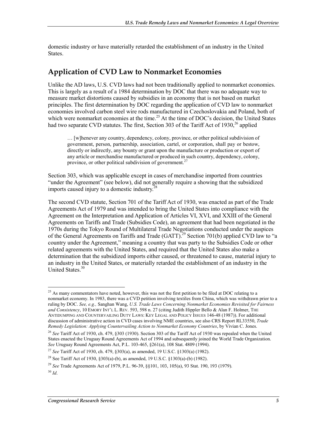domestic industry or have materially retarded the establishment of an industry in the United States.

#### **Application of CVD Law to Nonmarket Economies**

Unlike the AD laws, U.S. CVD laws had not been traditionally applied to nonmarket economies. This is largely as a result of a 1984 determination by DOC that there was no adequate way to measure market distortions caused by subsidies in an economy that is not based on market principles. The first determination by DOC regarding the application of CVD law to nonmarket economies involved carbon steel wire rods manufactured in Czechoslovakia and Poland, both of which were nonmarket economies at the time.<sup>25</sup> At the time of DOC's decision, the United States had two separate CVD statutes. The first, Section 303 of the Tariff Act of  $1930<sup>26</sup>$  applied

… [w]henever any country, dependency, colony, province, or other political subdivision of government, person, partnership, association, cartel, or corporation, shall pay or bestow, directly or indirectly, any bounty or grant upon the manufacture or production or export of any article or merchandise manufactured or produced in such country, dependency, colony, province, or other political subdivision of government.<sup>27</sup>

Section 303, which was applicable except in cases of merchandise imported from countries "under the Agreement" (see below), did not generally require a showing that the subsidized imports caused injury to a domestic industry. $^{28}$ 

The second CVD statute, Section 701 of the Tariff Act of 1930, was enacted as part of the Trade Agreements Act of 1979 and was intended to bring the United States into compliance with the Agreement on the Interpretation and Application of Articles VI, XVI, and XXIII of the General Agreements on Tariffs and Trade (Subsidies Code), an agreement that had been negotiated in the 1970s during the Tokyo Round of Multilateral Trade Negotiations conducted under the auspices of the General Agreements on Tariffs and Trade (GATT).<sup>29</sup> Section 701(b) applied CVD law to "a country under the Agreement," meaning a country that was party to the Subsidies Code or other related agreements with the United States, and required that the United States also make a determination that the subsidized imports either caused, or threatened to cause, material injury to an industry in the United States, or materially retarded the establishment of an industry in the United States<sup>30</sup>

<u>.</u>

<sup>&</sup>lt;sup>25</sup> As many commentators have noted, however, this was not the first petition to be filed at DOC relating to a nonmarket economy. In 1983, there was a CVD petition involving textiles from China, which was withdrawn prior to a ruling by DOC. *See, e.g.,* Sanghan Wang, *U.S. Trade Laws Concerning Nonmarket Economies Revisited for Fairness and Consistency*, 10 EMORY INT'L L. REV. 593, 598 n. 27 (citing Judith Hippler Bello & Alan F. Holmer, THE ANTIDUMPING AND COUNTERVAILING DUTY LAWS: KEY LEGAL AND POLICY ISSUES 146-48 (1987)). For additional discussion of administrative action in CVD cases involving NME countries, see also CRS Report RL33550, *Trade Remedy Legislation: Applying Countervailing Action to Nonmarket Economy Countries*, by Vivian C. Jones.

<sup>&</sup>lt;sup>26</sup> See Tariff Act of 1930, ch. 479, §303 (1930). Section 303 of the Tariff Act of 1930 was repealed when the United States enacted the Uruguay Round Agreements Act of 1994 and subsequently joined the World Trade Organization. *See* Uruguay Round Agreements Act, P.L. 103-465, §261(a), 108 Stat. 4809 (1994).

<sup>27</sup> *See* Tariff Act of 1930, ch. 479, §303(a), as amended, 19 U.S.C. §1303(a) (1982).

<sup>28</sup> See Tariff Act of 1930, §303(a)-(b), as amended, 19 U.S.C. §1303(a)-(b) (1982).

<sup>29</sup> *See* Trade Agreements Act of 1979, P.L. 96-39, §§101, 103, 105(a), 93 Stat. 190, 193 (1979).

<sup>30</sup> *Id*.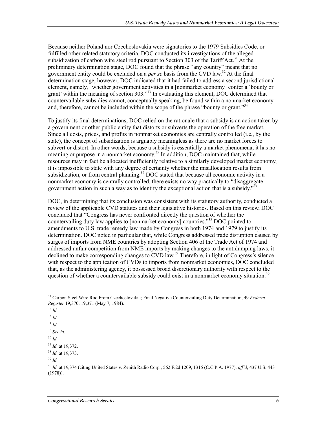Because neither Poland nor Czechoslovakia were signatories to the 1979 Subsidies Code, or fulfilled other related statutory criteria, DOC conducted its investigations of the alleged subsidization of carbon wire steel rod pursuant to Section 303 of the Tariff Act.<sup>31</sup> At the preliminary determination stage, DOC found that the phrase "any country" meant that no government entity could be excluded on a *per se* basis from the CVD law.32 At the final determination stage, however, DOC indicated that it had failed to address a second jurisdictional element, namely, "whether government activities in a [nonmarket economy] confer a 'bounty or grant' within the meaning of section 303."<sup>33</sup> In evaluating this element, DOC determined that countervailable subsidies cannot, conceptually speaking, be found within a nonmarket economy and, therefore, cannot be included within the scope of the phrase "bounty or grant."<sup>34</sup>

To justify its final determinations, DOC relied on the rationale that a subsidy is an action taken by a government or other public entity that distorts or subverts the operation of the free market. Since all costs, prices, and profits in nonmarket economies are centrally controlled (i.e., by the state), the concept of subsidization is arguably meaningless as there are no market forces to subvert or distort. In other words, because a subsidy is essentially a market phenomena, it has no meaning or purpose in a nonmarket economy.<sup>35</sup> In addition, DOC maintained that, while resources may in fact be allocated inefficiently relative to a similarly developed market economy, it is impossible to state with any degree of certainty whether the misallocation results from subsidization, or from central planning.<sup>36</sup> DOC stated that because all economic activity in a nonmarket economy is centrally controlled, there exists no way practically to "disaggregate government action in such a way as to identify the exceptional action that is a subsidy.<sup>33</sup>

DOC, in determining that its conclusion was consistent with its statutory authority, conducted a review of the applicable CVD statutes and their legislative histories. Based on this review, DOC concluded that "Congress has never confronted directly the question of whether the countervailing duty law applies to [nonmarket economy] countries."<sup>38</sup> DOC pointed to amendments to U.S. trade remedy law made by Congress in both 1974 and 1979 to justify its determination. DOC noted in particular that, while Congress addressed trade disruption caused by surges of imports from NME countries by adopting Section 406 of the Trade Act of 1974 and addressed unfair competition from NME imports by making changes to the antidumping laws, it declined to make corresponding changes to  $\overline{CVD}$  law.<sup>39</sup> Therefore, in light of Congress's silence with respect to the application of CVDs to imports from nonmarket economies, DOC concluded that, as the administering agency, it possessed broad discretionary authority with respect to the question of whether a countervailable subsidy could exist in a nonmarket economy situation.<sup>40</sup>

1

<sup>36</sup> *Id*.

<sup>31</sup> Carbon Steel Wire Rod From Czechoslovakia; Final Negative Countervailing Duty Determination, 49 *Federal Register* 19,370, 19,371 (May 7, 1984).

<sup>32</sup> *Id.*

<sup>33</sup> *Id.*

<sup>34</sup> *Id.*

<sup>35</sup> *See id*.

<sup>37</sup> *Id.* at 19,372.

<sup>38</sup> *Id.* at 19,373.

<sup>39</sup> *Id.*

<sup>40</sup> *Id.* at 19,374 (citing United States v. Zenith Radio Corp*.*, 562 F.2d 1209, 1316 (C.C.P.A. 1977), *aff'd*, 437 U.S. 443 (1978)).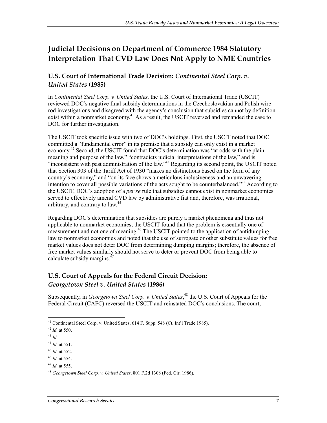### **Judicial Decisions on Department of Commerce 1984 Statutory Interpretation That CVD Law Does Not Apply to NME Countries**

#### **U.S. Court of International Trade Decision:** *Continental Steel Corp. v. United States* **(1985)**

In *Continental Steel Corp. v. United States,* the U.S. Court of International Trade (USCIT) reviewed DOC's negative final subsidy determinations in the Czechoslovakian and Polish wire rod investigations and disagreed with the agency's conclusion that subsidies cannot by definition exist within a nonmarket economy.<sup>41</sup> As a result, the USCIT reversed and remanded the case to DOC for further investigation.

The USCIT took specific issue with two of DOC's holdings. First, the USCIT noted that DOC committed a "fundamental error" in its premise that a subsidy can only exist in a market economy.<sup>42</sup> Second, the USCIT found that DOC's determination was "at odds with the plain meaning and purpose of the law," "contradicts judicial interpretations of the law," and is "inconsistent with past administration of the law."<sup>43</sup> Regarding its second point, the USCIT noted that Section 303 of the Tariff Act of 1930 "makes no distinctions based on the form of any country's economy," and "on its face shows a meticulous inclusiveness and an unwavering intention to cover all possible variations of the acts sought to be counterbalanced."<sup>44</sup> According to the USCIT, DOC's adoption of a *per se* rule that subsidies cannot exist in nonmarket economies served to effectively amend CVD law by administrative fiat and, therefore, was irrational, arbitrary, and contrary to law.<sup>45</sup>

Regarding DOC's determination that subsidies are purely a market phenomena and thus not applicable to nonmarket economies, the USCIT found that the problem is essentially one of measurement and not one of meaning.<sup>46</sup> The USCIT pointed to the application of antidumping law to nonmarket economies and noted that the use of surrogate or other substitute values for free market values does not deter DOC from determining dumping margins; therefore, the absence of free market values similarly should not serve to deter or prevent DOC from being able to calculate subsidy margins.<sup>4</sup>

#### **U.S. Court of Appeals for the Federal Circuit Decision:**  *Georgetown Steel v. United States* **(1986)**

Subsequently, in *Georgetown Steel Corp. v. United States*,<sup>48</sup> the U.S. Court of Appeals for the Federal Circuit (CAFC) reversed the USCIT and reinstated DOC's conclusions. The court,

<sup>&</sup>lt;sup>41</sup> Continental Steel Corp. v. United States, 614 F. Supp. 548 (Ct. Int'l Trade 1985).

<sup>42</sup> *Id.* at 550.

<sup>43</sup> *Id*.

<sup>44</sup> *Id.* at 551.

<sup>45</sup> *Id.* at 552.

<sup>46</sup> *Id.* at 554.

<sup>47</sup> *Id.* at 555.

<sup>48</sup> *Georgetown Steel Corp. v. United States*, 801 F.2d 1308 (Fed. Cir. 1986).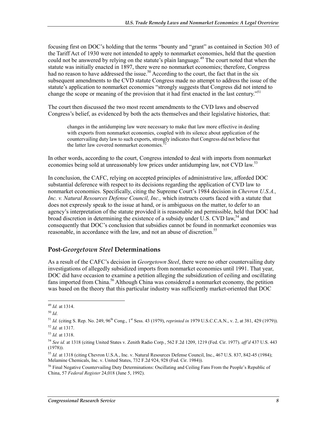focusing first on DOC's holding that the terms "bounty and "grant" as contained in Section 303 of the Tariff Act of 1930 were not intended to apply to nonmarket economies, held that the question could not be answered by relying on the statute's plain language.<sup>49</sup> The court noted that when the statute was initially enacted in 1897, there were no nonmarket economies; therefore, Congress had no reason to have addressed the issue.<sup>50</sup> According to the court, the fact that in the six subsequent amendments to the CVD statute Congress made no attempt to address the issue of the statute's application to nonmarket economies "strongly suggests that Congress did not intend to change the scope or meaning of the provision that it had first enacted in the last century."<sup>51</sup>

The court then discussed the two most recent amendments to the CVD laws and observed Congress's belief, as evidenced by both the acts themselves and their legislative histories, that:

changes in the antidumping law were necessary to make that law more effective in dealing with exports from nonmarket economies, coupled with its silence about application of the countervailing duty law to such exports, strongly indicates that Congress did not believe that the latter law covered nonmarket economies.<sup>5</sup>

In other words, according to the court, Congress intended to deal with imports from nonmarket economies being sold at unreasonably low prices under antidumping law, not CVD law.<sup>53</sup>

In conclusion, the CAFC, relying on accepted principles of administrative law, afforded DOC substantial deference with respect to its decisions regarding the application of CVD law to nonmarket economies. Specifically, citing the Supreme Court's 1984 decision in *Chevron U.S.A., Inc. v. Natural Resources Defense Council, Inc.,* which instructs courts faced with a statute that does not expressly speak to the issue at hand, or is ambiguous on the matter, to defer to an agency's interpretation of the statute provided it is reasonable and permissible, held that DOC had broad discretion in determining the existence of a subsidy under U.S. CVD law,<sup>54</sup> and consequently that DOC's conclusion that subsidies cannot be found in nonmarket economies was reasonable, in accordance with the law, and not an abuse of discretion.<sup>55</sup>

#### **Post-***Georgetown Steel* **Determinations**

As a result of the CAFC's decision in *Georgetown Steel*, there were no other countervailing duty investigations of allegedly subsidized imports from nonmarket economies until 1991. That year, DOC did have occasion to examine a petition alleging the subsidization of ceiling and oscillating fans imported from China.<sup>56</sup> Although China was considered a nonmarket economy, the petition was based on the theory that this particular industry was sufficiently market-oriented that DOC

<sup>&</sup>lt;u>.</u> <sup>49</sup> *Id.* at 1314.

<sup>50</sup> *Id*.

<sup>&</sup>lt;sup>51</sup> *Id.* (citing S. Rep. No. 249, 96<sup>th</sup> Cong., 1<sup>st</sup> Sess. 43 (1979), *reprinted in* 1979 U.S.C.C.A.N., v. 2, at 381, 429 (1979)).

<sup>52</sup> *Id.* at 1317.

<sup>53</sup> *Id.* at 1318.

<sup>54</sup> *See id.* at 1318 (citing United States v. Zenith Radio Corp*.*, 562 F.2d 1209, 1219 (Fed. Cir. 1977). *aff'd* 437 U.S. 443 (1978)).

<sup>55</sup> *Id.* at 1318 (citing Chevron U.S.A., Inc. v. Natural Resources Defense Council, Inc., 467 U.S. 837, 842-45 (1984); Melamine Chemicals, Inc. v. United States, 732 F.2d 924, 928 (Fed. Cir. 1984)).

<sup>&</sup>lt;sup>56</sup> Final Negative Countervailing Duty Determinations: Oscillating and Ceiling Fans From the People's Republic of China, 57 *Federal Register* 24,018 (June 5, 1992).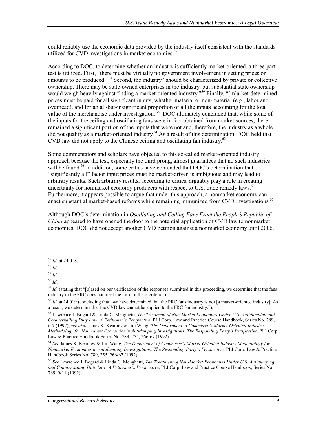could reliably use the economic data provided by the industry itself consistent with the standards utilized for CVD investigations in market economies. $57$ 

According to DOC, to determine whether an industry is sufficiently market-oriented, a three-part test is utilized. First, "there must be virtually no government involvement in setting prices or amounts to be produced."<sup>58</sup> Second, the industry "should be characterized by private or collective ownership. There may be state-owned enterprises in the industry, but substantial state ownership would weigh heavily against finding a market-oriented industry."<sup>59</sup> Finally, "[m]arket-determined prices must be paid for all significant inputs, whether material or non-material (e.g., labor and overhead), and for an all-but-insignificant proportion of all the inputs accounting for the total value of the merchandise under investigation.<sup>760</sup> DOC ultimately concluded that, while some of the inputs for the ceiling and oscillating fans were in fact obtained from market sources, there remained a significant portion of the inputs that were not and, therefore, the industry as a whole did not qualify as a market-oriented industry.<sup>61</sup> As a result of this determination, DOC held that CVD law did not apply to the Chinese ceiling and oscillating fan industry.<sup>62</sup>

Some commentators and scholars have objected to this so-called market-oriented industry approach because the test, especially the third prong, almost guarantees that no such industries will be found.<sup>63</sup> In addition, some critics have contended that DOC's determination that "significantly all" factor input prices must be market-driven is ambiguous and may lead to arbitrary results. Such arbitrary results, according to critics, arguably play a role in creating uncertainty for nonmarket economy producers with respect to U.S. trade remedy laws.<sup>64</sup> Furthermore, it appears possible to argue that under this approach, a nonmarket economy can enact substantial market-based reforms while remaining immunized from CVD investigations.<sup>65</sup>

Although DOC's determination in *Oscillating and Ceiling Fans From the People's Republic of China* appeared to have opened the door to the potential application of CVD law to nonmarket economies, DOC did not accept another CVD petition against a nonmarket economy until 2006.

<sup>&</sup>lt;u>.</u> <sup>57</sup> *Id.* at 24,018.

<sup>58</sup> *Id*.

<sup>59</sup> *Id*.

<sup>60</sup> *Id*.

 $61$  *Id.* (stating that "[b]ased on our verification of the responses submitted in this proceeding, we determine that the fans industry in the PRC does not meet the third of these criteria").

 $^{62}$  *Id.* at 24,019 (concluding that "we have determined that the PRC fans industry is not [a market-oriented industry]. As a result, we determine that the CVD law cannot be applied to the PRC fan industry.").

<sup>63</sup> Lawrence J. Bogard & Linda C. Menghetti, *The Treatment of Non-Market Economies Under U.S. Antidumping and Countervailing Duty Law: A Petitioner's Perspective*, PLI Corp. Law and Practice Course Handbook, Series No. 789, 6-7 (1992); *see also* James K. Kearney & Jim Wang, *The Department of Commerce's Market-Oriented Industry Methodology for Nonmarket Economies in Antidumping Investigations: The Responding Party's Perspective*, PLI Corp. Law & Practice Handbook Series No. 789, 255, 266-67 (1992).

<sup>64</sup> *See* James K. Kearney & Jim Wang, *The Department of Commerce's Market-Oriented Industry Methodology for Nonmarket Economies in Antidumping Investigations: The Responding Party's Perspective*, PLI Corp. Law & Practice Handbook Series No. 789, 255, 266-67 (1992).

<sup>65</sup> *See* Lawrence J. Bogard & Linda C. Menghetti, *The Treatment of Non-Market Economies Under U.S. Antidumping and Countervailing Duty Law: A Petitioner's Perspective*, PLI Corp. Law and Practice Course Handbook, Series No. 789, 9-11 (1992).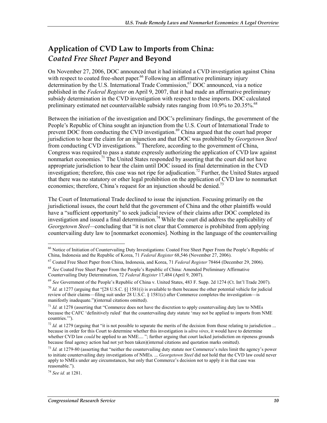### **Application of CVD Law to Imports from China:**  *Coated Free Sheet Paper* **and Beyond**

On November 27, 2006, DOC announced that it had initiated a CVD investigation against China with respect to coated free-sheet paper.<sup>66</sup> Following an affirmative preliminary injury determination by the U.S. International Trade Commission,  $67$  DOC announced, via a notice published in the *Federal Register* on April 9, 2007, that it had made an affirmative preliminary subsidy determination in the CVD investigation with respect to these imports. DOC calculated preliminary estimated net countervailable subsidy rates ranging from  $10.9\%$  to  $20.35\%$ .<sup>68</sup>

Between the initiation of the investigation and DOC's preliminary findings, the government of the People's Republic of China sought an injunction from the U.S. Court of International Trade to prevent DOC from conducting the CVD investigation.<sup>69</sup> China argued that the court had proper jurisdiction to hear the claim for an injunction and that DOC was prohibited by *Georgetown Steel* from conducting CVD investigations.  $\bar{a}^{\dagger}$  Therefore, according to the government of China, Congress was required to pass a statute expressly authorizing the application of CVD law against nonmarket economies.<sup>71</sup> The United States responded by asserting that the court did not have appropriate jurisdiction to hear the claim until DOC issued its final determination in the CVD investigation; therefore, this case was not ripe for adjudication.<sup>72</sup> Further, the United States argued that there was no statutory or other legal prohibition on the application of CVD law to nonmarket economies; therefore, China's request for an injunction should be denied.<sup>73</sup>

The Court of International Trade declined to issue the injunction. Focusing primarily on the jurisdictional issues, the court held that the government of China and the other plaintiffs would have a "sufficient opportunity" to seek judicial review of their claims after DOC completed its investigation and issued a final determination.<sup>74</sup> While the court did address the applicability of *Georgetown Steel—*concluding that "it is not clear that Commerce is prohibited from applying countervailing duty law to [nonmarket economies]. Nothing in the language of the countervailing

<sup>&</sup>lt;u>.</u> <sup>66</sup> Notice of Initiation of Countervailing Duty Investigations: Coated Free Sheet Paper From the People's Republic of China, Indonesia and the Republic of Korea, 71 *Federal Register* 68,546 (November 27, 2006).

<sup>67</sup> Coated Free Sheet Paper from China, Indonesia, and Korea, 71 *Federal Register* 78464 (December 29, 2006).

<sup>68</sup> *See* Coated Free Sheet Paper From the People's Republic of China: Amended Preliminary Affirmative Countervailing Duty Determination, 72 *Federal Register* 17,484 (April 9, 2007).

<sup>69</sup> *See* Government of the People's Republic of China v. United States, 483 F. Supp. 2d 1274 (Ct. Int'l Trade 2007).

<sup>&</sup>lt;sup>70</sup> *Id.* at 1277 (arguing that "[28 U.S.C. §] 1581(i) is available to them because the other potential vehicle for judicial review of their claims—filing suit under 28 U.S.C. § 1581(c) after Commerce completes the investigation—is manifestly inadequate.")(internal citations omitted).

<sup>&</sup>lt;sup>71</sup> *Id.* at 1278 (asserting that "Commerce does not have the discretion to apply countervailing duty law to NMEs because the CAFC 'definitively ruled' that the countervailing duty statute 'may not be applied to imports from NME countries.'").

<sup>&</sup>lt;sup>72</sup> *Id.* at 1279 (arguing that "it is not possible to separate the merits of the decision from those relating to jurisdiction ... because in order for this Court to determine whether this investigation is *ultra vires*, it would have to determine whether CVD law *could* be applied to an NME.... "; further arguing that court lacked jurisdiction on ripeness grounds because final agency action had not yet been taken)(internal citations and quotation marks omitted).

<sup>&</sup>lt;sup>73</sup> *Id.* at 1279-80 (asserting that "neither the countervailing duty statute nor Commerce's rules limit the agency's power to initiate countervailing duty investigations of NMEs. ... *Georgetown Steel* did not hold that the CVD law could never apply to NMEs under any circumstances, but only that Commerce's decision not to apply it in that case was reasonable.").

<sup>74</sup> *See id.* at 1281.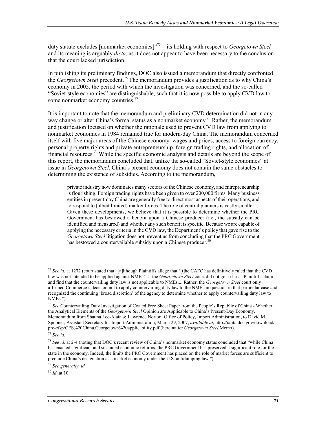duty statute excludes [nonmarket economies]"75—its holding with respect to *Georgetown Steel* and its meaning is arguably *dicta*, as it does not appear to have been necessary to the conclusion that the court lacked jurisdiction.

In publishing its preliminary findings, DOC also issued a memorandum that directly confronted the *Georgetown Steel* precedent.76 The memorandum provides a justification as to why China's economy in 2005, the period with which the investigation was concerned, and the so-called "Soviet-style economies" are distinguishable, such that it is now possible to apply CVD law to some nonmarket economy countries.<sup>77</sup>

It is important to note that the memorandum and preliminary CVD determination did not in any way change or alter China's formal status as a nonmarket economy.<sup>78</sup> Rather, the memorandum and justification focused on whether the rationale used to prevent CVD law from applying to nonmarket economies in 1984 remained true for modern-day China. The memorandum concerned itself with five major areas of the Chinese economy: wages and prices, access to foreign currency, personal property rights and private entrepreneurship, foreign trading rights, and allocation of financial resources.<sup>79</sup> While the specific economic analysis and details are beyond the scope of this report, the memorandum concluded that, unlike the so-called "Soviet-style economies" at issue in *Georgetown Steel*, China's present economy does not contain the same obstacles to determining the existence of subsidies. According to the memorandum,

private industry now dominates many sectors of the Chinese economy, and entrepreneurship is flourishing. Foreign trading rights have been given to over 200,000 firms. Many business entities in present-day China are generally free to direct most aspects of their operations, and to respond to (albeit limited) market forces. The role of central planners is vastly smaller.... Given these developments, we believe that it is possible to determine whether the PRC Government has bestowed a benefit upon a Chinese producer (i.e., the subsidy can be identified and measured) and whether any such benefit is specific. Because we are capable of applying the necessary criteria in the CVD law, the Department's policy that gave rise to the *Georgetown Steel* litigation does not prevent us from concluding that the PRC Government has bestowed a countervailable subsidy upon a Chinese producer.<sup>80</sup>

<sup>75</sup> *See id.* at 1272 (court stated that "[a]lthough Plaintiffs allege that '[t]he CAFC has definitively ruled that the CVD law was not intended to be applied against NMEs' … the *Georgetown Steel* court did not go so far as Plaintiffs claim and find that the countervailing duty law is not applicable to NMEs.... Rather, the *Georgetown Steel* court only affirmed Commerce's decision not to apply countervailing duty law to the NMEs in question in that particular case and recognized the continuing 'broad discretion' of the agency to determine whether to apply countervailing duty law to NMEs.").

<sup>76</sup> *See* Countervailing Duty Investigation of Coated Free Sheet Paper from the People's Republic of China - Whether the Analytical Elements of the *Georgetown Steel* Opinion are Applicable to China's Present-Day Economy, Memorandum from Shauna Lee-Alaia & Lawrence Norton, Office of Policy, Import Administration, to David M. Spooner, Assistant Secretary for Import Administration, March 29, 2007, *available at*, http://ia.ita.doc.gov/download/ prc-cfsp/CFS%20China.Georgetown%20applicability.pdf (hereinafter *Georgetown Steel* Memo).

<sup>77</sup> *See id*.

<sup>78</sup> *See id.* at 2-4 (noting that DOC's recent review of China's nonmarket economy status concluded that "while China has enacted significant and sustained economic reforms, the PRC Government has preserved a significant role for the state in the economy. Indeed, the limits the PRC Government has placed on the role of market forces are sufficient to preclude China's designation as a market economy under the U.S. antidumping law.").

<sup>79</sup> *See generally, id.*

<sup>80</sup> *Id.* at 10.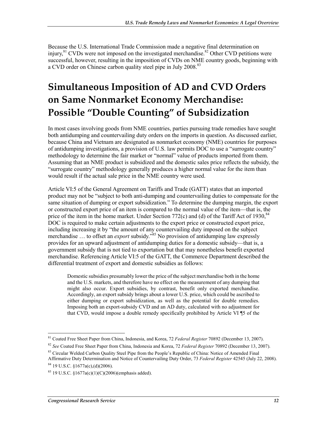Because the U.S. International Trade Commission made a negative final determination on injury, $81$  CVDs were not imposed on the investigated merchandise. $82$  Other CVD petitions were successful, however, resulting in the imposition of CVDs on NME country goods, beginning with a CVD order on Chinese carbon quality steel pipe in July 2008.<sup>83</sup>

## **Simultaneous Imposition of AD and CVD Orders on Same Nonmarket Economy Merchandise: Possible "Double Counting" of Subsidization**

In most cases involving goods from NME countries, parties pursuing trade remedies have sought both antidumping and countervailing duty orders on the imports in question. As discussed earlier, because China and Vietnam are designated as nonmarket economy (NME) countries for purposes of antidumping investigations, a provision of U.S. law permits DOC to use a "surrogate country" methodology to determine the fair market or "normal" value of products imported from them. Assuming that an NME product is subsidized and the domestic sales price reflects the subsidy, the "surrogate country" methodology generally produces a higher normal value for the item than would result if the actual sale price in the NME country were used.

Article VI:5 of the General Agreement on Tariffs and Trade (GATT) states that an imported product may not be "subject to both anti-dumping and countervailing duties to compensate for the same situation of dumping or export subsidization." To determine the dumping margin, the export or constructed export price of an item is compared to the normal value of the item—that is, the price of the item in the home market. Under Section 772(c) and (d) of the Tariff Act of 1930,  $84$ DOC is required to make certain adjustments to the export price or constructed export price, including increasing it by "the amount of any countervailing duty imposed on the subject merchandise ... to offset an *export* subsidy.<sup>385</sup> No provision of antidumping law expressly provides for an upward adjustment of antidumping duties for a domestic subsidy—that is, a government subsidy that is not tied to exportation but that may nonetheless benefit exported merchandise. Referencing Article VI:5 of the GATT, the Commerce Department described the differential treatment of export and domestic subsidies as follows:

Domestic subsidies presumably lower the price of the subject merchandise both in the home and the U.S. markets, and therefore have no effect on the measurement of any dumping that might also occur. Export subsidies, by contrast, benefit only exported merchandise. Accordingly, an export subsidy brings about a lower U.S. price, which could be ascribed to either dumping or export subsidization, as well as the potential for double remedies. Imposing both an export-subsidy CVD and an AD duty, calculated with no adjustment for that CVD, would impose a double remedy specifically prohibited by Article VI ¶5 of the

<sup>1</sup> 81 Coated Free Sheet Paper from China, Indonesia, and Korea, 72 *Federal Register* 70892 (December 13, 2007).

<sup>82</sup> *See* Coated Free Sheet Paper from China, Indonesia and Korea, 72 *Federal Register* 70892 (December 13, 2007).

<sup>&</sup>lt;sup>83</sup> Circular Welded Carbon Quality Steel Pipe from the People's Republic of China: Notice of Amended Final

Affirmative Duty Determination and Notice of Countervailing Duty Order, 73 *Federal Register* 42545 (July 22, 2008).  $84$  19 U.S.C.  $$1677a(c)$ , (d)(2006).

 $85$  19 U.S.C.  $$1677a(c)(1)(C)(2006)$ (emphasis added).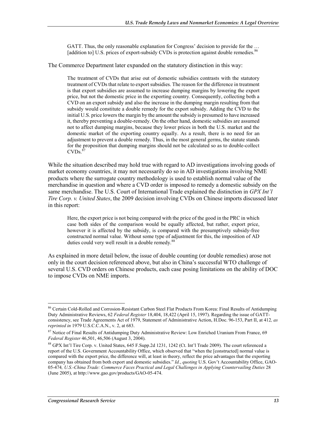GATT. Thus, the only reasonable explanation for Congress' decision to provide for the ... [addition to] U.S. prices of export-subsidy CVDs is protection against double remedies.<sup>86</sup>

The Commerce Department later expanded on the statutory distinction in this way:

The treatment of CVDs that arise out of domestic subsidies contrasts with the statutory treatment of CVDs that relate to export subsidies. The reason for the difference in treatment is that export subsidies are assumed to increase dumping margins by lowering the export price, but not the domestic price in the exporting country. Consequently, collecting both a CVD on an export subsidy and also the increase in the dumping margin resulting from that subsidy would constitute a double remedy for the export subsidy. Adding the CVD to the initial U.S. price lowers the margin by the amount the subsidy is presumed to have increased it, thereby preventing a double-remedy. On the other hand, domestic subsidies are assumed not to affect dumping margins, because they lower prices in both the U.S. market and the domestic market of the exporting country equally. As a result, there is no need for an adjustment to prevent a double remedy. Thus, in the most general germs, the statute stands for the proposition that dumping margins should not be calculated so as to double-collect  $CVDs<sup>3</sup>$ 

While the situation described may hold true with regard to AD investigations involving goods of market economy countries, it may not necessarily do so in AD investigations involving NME products where the surrogate country methodology is used to establish normal value of the merchandise in question and where a CVD order is imposed to remedy a domestic subsidy on the same merchandise. The U.S. Court of International Trade explained the distinction in *GPX Int'l Tire Corp. v. United States*, the 2009 decision involving CVDs on Chinese imports discussed later in this report:

Here, the export price is not being compared with the price of the good in the PRC in which case both sides of the comparison would be equally affected, but rather, export price, however it is affected by the subsidy, is compared with the presumptively subsidy-free constructed normal value. Without some type of adjustment for this, the imposition of AD duties could very well result in a double remedy.<sup>8</sup>

As explained in more detail below, the issue of double counting (or double remedies) arose not only in the court decision referenced above, but also in China's successful WTO challenge of several U.S. CVD orders on Chinese products, each case posing limitations on the ability of DOC to impose CVDs on NME imports.

<sup>&</sup>lt;sup>86</sup> Certain Cold-Rolled and Corrosion-Resistant Carbon Steel Flat Products From Korea: Final Results of Antidumping Duty Administrative Reviews, 62 *Federal Register* 18,404, 18,422 (April 15, 1997). Regarding the issue of GATTconsistency, see Trade Agreements Act of 1979, Statement of Administrative Action, H.Doc. 96-153, Part II, at 412*, as reprinted in* 1979 U.S.C.C.A.N., v. 2, at 683.

<sup>&</sup>lt;sup>87</sup> Notice of Final Results of Antidumping Duty Administrative Review: Low Enriched Uranium From France, 69 *Federal Register* 46,501, 46,506 (August 3, 2004).

<sup>88</sup> GPX Int'l Tire Corp. v. United States, 645 F.Supp.2d 1231, 1242 (Ct. Int'l Trade 2009). The court referenced a report of the U.S. Government Accountability Office, which observed that "when the [constructed] normal value is compared with the export price, the difference will, at least in theory, reflect the price advantages that the exporting company has obtained from both export and domestic subsidies." *Id.*, *quoting* U.S. Gov't Accountability Office, GAO-05-474*, U.S.-China Trade: Commerce Faces Practical and Legal Challenges in Applying Countervailing Duties* 28 (June 2005), at http://www.gao.gov/products/GAO-05-474.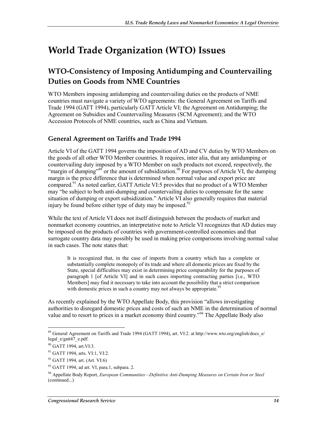## **World Trade Organization (WTO) Issues**

### **WTO-Consistency of Imposing Antidumping and Countervailing Duties on Goods from NME Countries**

WTO Members imposing antidumping and countervailing duties on the products of NME countries must navigate a variety of WTO agreements: the General Agreement on Tariffs and Trade 1994 (GATT 1994), particularly GATT Article VI; the Agreement on Antidumping; the Agreement on Subsidies and Countervailing Measures (SCM Agreement); and the WTO Accession Protocols of NME countries, such as China and Vietnam.

#### **General Agreement on Tariffs and Trade 1994**

Article VI of the GATT 1994 governs the imposition of AD and CV duties by WTO Members on the goods of all other WTO Member countries. It requires, inter alia, that any antidumping or countervailing duty imposed by a WTO Member on such products not exceed, respectively, the "margin of dumping"<sup>89</sup> or the amount of subsidization.<sup>90</sup> For purposes of Article VI, the dumping margin is the price difference that is determined when normal value and export price are compared.<sup>91</sup> As noted earlier, GATT Article VI:5 provides that no product of a WTO Member may "be subject to both anti-dumping and countervailing duties to compensate for the same situation of dumping or export subsidization." Article VI also generally requires that material injury be found before either type of duty may be imposed.<sup>92</sup>

While the text of Article VI does not itself distinguish between the products of market and nonmarket economy countries, an interpretative note to Article VI recognizes that AD duties may be imposed on the products of countries with government-controlled economies and that surrogate country data may possibly be used in making price comparisons involving normal value in such cases. The note states that:

It is recognized that, in the case of imports from a country which has a complete or substantially complete monopoly of its trade and where all domestic prices are fixed by the State, special difficulties may exist in determining price comparability for the purposes of paragraph 1 [of Article VI] and in such cases importing contracting parties [i.e., WTO Members] may find it necessary to take into account the possibility that a strict comparison with domestic prices in such a country may not always be appropriate.<sup>93</sup>

As recently explained by the WTO Appellate Body, this provision "allows investigating authorities to disregard domestic prices and costs of such an NME in the determination of normal value and to resort to prices in a market economy third country."94 The Appellate Body also

<sup>1</sup> <sup>89</sup> General Agreement on Tariffs and Trade 1994 (GATT 1994), art. VI:2. at http://www.wto.org/english/docs\_e/ legal\_e/gatt47\_e.pdf.

<sup>90</sup> GATT 1994, art. VI:3.

<sup>&</sup>lt;sup>91</sup> GATT 1994, arts. VI:1, VI:2.

<sup>92</sup> GATT 1994, art. (Art. VI:6)

 $93$  GATT 1994, ad art. VI, para.1, subpara. 2.

<sup>94</sup> Appellate Body Report, *European Communities—Definitive Anti-Dumping Measures on Certain Iron or Steel*  (continued...)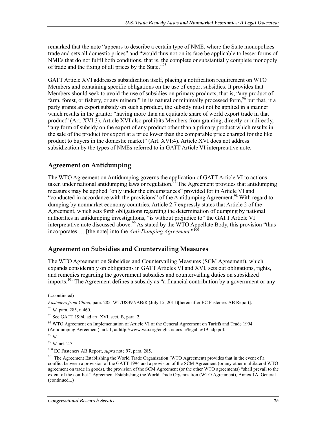remarked that the note "appears to describe a certain type of NME, where the State monopolizes trade and sets all domestic prices" and "would thus not on its face be applicable to lesser forms of NMEs that do not fulfil both conditions, that is, the complete or substantially complete monopoly of trade and the fixing of all prices by the State."95

GATT Article XVI addresses subsidization itself, placing a notification requirement on WTO Members and containing specific obligations on the use of export subsidies. It provides that Members should seek to avoid the use of subsidies on primary products, that is, "any product of farm, forest, or fishery, or any mineral" in its natural or minimally processed form,  $96$  but that, if a party grants an export subsidy on such a product, the subsidy must not be applied in a manner which results in the grantor "having more than an equitable share of world export trade in that product" (Art. XVI:3). Article XVI also prohibits Members from granting, directly or indirectly, "any form of subsidy on the export of any product other than a primary product which results in the sale of the product for export at a price lower than the comparable price charged for the like product to buyers in the domestic market" (Art. XVI:4). Article XVI does not address subsidization by the types of NMEs referred to in GATT Article VI interpretative note.

#### **Agreement on Antidumping**

The WTO Agreement on Antidumping governs the application of GATT Article VI to actions taken under national antidumping laws or regulation.<sup>97</sup> The Agreement provides that antidumping measures may be applied "only under the circumstances" provided for in Article VI and "conducted in accordance with the provisions" of the Antidumping Agreement.<sup>98</sup> With regard to dumping by nonmarket economy countries, Article 2.7 expressly states that Article 2 of the Agreement, which sets forth obligations regarding the determination of dumping by national authorities in antidumping investigations, "is without prejudice to" the GATT Article VI interpretative note discussed above.<sup>99</sup> As stated by the WTO Appellate Body, this provision "thus incorporates ... [the note] into the *Anti-Dumping Agreement*."<sup>1</sup>

#### **Agreement on Subsidies and Countervailing Measures**

The WTO Agreement on Subsidies and Countervailing Measures (SCM Agreement), which expands considerably on obligations in GATT Articles VI and XVI, sets out obligations, rights, and remedies regarding the government subsidies and countervailing duties on subsidized imports.<sup>101</sup> The Agreement defines a subsidy as "a financial contribution by a government or any

1

<sup>98</sup> *Id.*

100 EC Fasteners AB Report, *supra* note 97, para. 285.

<sup>(...</sup>continued)

*Fasteners from China*, para. 285, WT/DS397/AB/R (July 15, 2011)[hereinafter EC Fasteners AB Report]. <sup>95</sup> *Id.* para. 285, n.460.

<sup>96</sup> See GATT 1994, ad art. XVI, sect. B, para. 2.

<sup>&</sup>lt;sup>97</sup> WTO Agreement on Implementation of Article VI of the General Agreement on Tariffs and Trade 1994 (Antidumping Agreement), art. 1, at http://www.wto.org/english/docs\_e/legal\_e/19-adp.pdf.

<sup>99</sup> *Id.* art. 2.7.

<sup>&</sup>lt;sup>101</sup> The Agreement Establishing the World Trade Organization (WTO Agreement) provides that in the event of a conflict between a provision of the GATT 1994 and a provision of the SCM Agreement (or any other multilateral WTO agreement on trade in goods), the provision of the SCM Agreement (or the other WTO agreements) "shall prevail to the extent of the conflict." Agreement Establishing the World Trade Organization (WTO Agreement), Annex 1A, General (continued...)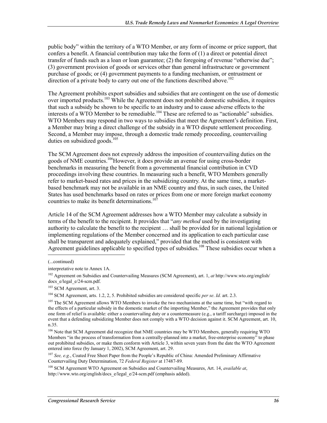public body" within the territory of a WTO Member, or any form of income or price support, that confers a benefit. A financial contribution may take the form of (1) a direct or potential direct transfer of funds such as a loan or loan guarantee; (2) the foregoing of revenue "otherwise due"; (3) government provision of goods or services other than general infrastructure or government purchase of goods; or (4) government payments to a funding mechanism, or entrustment or direction of a private body to carry out one of the functions described above.<sup>102</sup>

The Agreement prohibits export subsidies and subsidies that are contingent on the use of domestic over imported products.<sup>103</sup> While the Agreement does not prohibit domestic subsidies, it requires that such a subsidy be shown to be specific to an industry and to cause adverse effects to the interests of a WTO Member to be remediable.<sup>104</sup> These are referred to as "actionable" subsidies. WTO Members may respond in two ways to subsidies that meet the Agreement's definition. First, a Member may bring a direct challenge of the subsidy in a WTO dispute settlement proceeding. Second, a Member may impose, through a domestic trade remedy proceeding, countervailing duties on subsidized goods. $105$ 

The SCM Agreement does not expressly address the imposition of countervailing duties on the goods of NME countries.106However, it does provide an avenue for using cross-border benchmarks in measuring the benefit from a governmental financial contribution in CVD proceedings involving these countries. In measuring such a benefit, WTO Members generally refer to market-based rates and prices in the subsidizing country. At the same time, a marketbased benchmark may not be available in an NME country and thus, in such cases, the United States has used benchmarks based on rates or prices from one or more foreign market economy countries to make its benefit determinations. $10$ 

Article 14 of the SCM Agreement addresses how a WTO Member may calculate a subsidy in terms of the benefit to the recipient. It provides that "*any method* used by the investigating authority to calculate the benefit to the recipient … shall be provided for in national legislation or implementing regulations of the Member concerned and its application to each particular case shall be transparent and adequately explained," provided that the method is consistent with Agreement guidelines applicable to specified types of subsidies.<sup>108</sup> These subsidies occur when a

103 SCM Agreement, art. 3.

104 SCM Agreement, arts. 1.2, 2, 5. Prohibited subsidies are considered specific *per se*. *Id.* art. 2.3.

<sup>107</sup> *See, e.g.*, Coated Free Sheet Paper from the People's Republic of China: Amended Preliminary Affirmative Countervailing Duty Determination, 72 *Federal Register* at 17487-89.

108 SCM Agreement WTO Agreement on Subsidies and Countervailing Measures, Art. 14, *available at*, http://www.wto.org/english/docs\_e/legal\_e/24-scm.pdf (emphasis added).

<sup>(...</sup>continued)

interpretative note to Annex 1A.

<sup>102</sup> Agreement on Subsidies and Countervailing Measures (SCM Agreement), art. 1, *at* http://www.wto.org/english/ docs\_e/legal\_e/24-scm.pdf.

<sup>&</sup>lt;sup>105</sup> The SCM Agreement allows WTO Members to invoke the two mechanisms at the same time, but "with regard to the effects of a particular subsidy in the domestic market of the importing Member," the Agreement provides that only one form of relief is available: either a countervailing duty or a countermeasure (e.g., a tariff surcharge) imposed in the event that a defending subsidizing Member does not comply with a WTO decision against it. SCM Agreement, art. 10, n.35.

<sup>106</sup> Note that SCM Agreement did recognize that NME countries may be WTO Members, generally requiring WTO Members "in the process of transformation from a centrally-planned into a market, free-enterprise economy" to phase out prohibited subsidies, or make them conform with Article 3, within seven years from the date the WTO Agreement entered into force (by January 1, 2002), SCM Agreement, art. 29.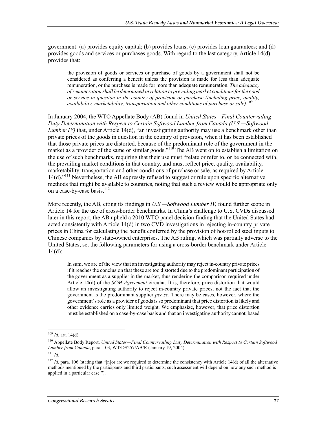government: (a) provides equity capital; (b) provides loans; (c) provides loan guarantees; and (d) provides goods and services or purchases goods. With regard to the last category, Article 14(d) provides that:

the provision of goods or services or purchase of goods by a government shall not be considered as conferring a benefit unless the provision is made for less than adequate remuneration, or the purchase is made for more than adequate remuneration. *The adequacy of remuneration shall be determined in relation to prevailing market conditions for the good or service in question in the country of provision or purchase (including price, quality, availability, marketability, transportation and other conditions of purchase or sale).*<sup>109</sup>

In January 2004, the WTO Appellate Body (AB) found in *United States—Final Countervailing Duty Determination with Respect to Certain Softwood Lumber from Canada (U.S.—Softwood Lumber IV*) that, under Article 14(d), "an investigating authority may use a benchmark other than private prices of the goods in question in the country of provision, when it has been established that those private prices are distorted, because of the predominant role of the government in the market as a provider of the same or similar goods."<sup>110</sup> The AB went on to establish a limitation on the use of such benchmarks, requiring that their use must "relate or refer to, or be connected with, the prevailing market conditions in that country, and must reflect price, quality, availability, marketability, transportation and other conditions of purchase or sale, as required by Article  $14(d)$ ."<sup>111</sup> Nevertheless, the AB expressly refused to suggest or rule upon specific alternative methods that might be available to countries, noting that such a review would be appropriate only on a case-by-case basis. $^{112}$ 

More recently, the AB, citing its findings in *U.S.—Softwood Lumber IV,* found further scope in Article 14 for the use of cross-border benchmarks. In China's challenge to U.S. CVDs discussed later in this report, the AB upheld a 2010 WTO panel decision finding that the United States had acted consistently with Article 14(d) in two CVD investigations in rejecting in-country private prices in China for calculating the benefit conferred by the provision of hot-rolled steel inputs to Chinese companies by state-owned enterprises. The AB ruling, which was partially adverse to the United States, set the following parameters for using a cross-border benchmark under Article  $14(d)$ :

In sum, we are of the view that an investigating authority may reject in-country private prices if it reaches the conclusion that these are too distorted due to the predominant participation of the government as a supplier in the market, thus rendering the comparison required under Article 14(d) of the *SCM Agreement* circular. It is, therefore, price distortion that would allow an investigating authority to reject in-country private prices, not the fact that the government is the predominant supplier *per se*. There may be cases, however, where the government's role as a provider of goods is so predominant that price distortion is likely and other evidence carries only limited weight. We emphasize, however, that price distortion must be established on a case-by-case basis and that an investigating authority cannot, based

 $109$  *Id.* art. 14(d).

<sup>110</sup> Appellate Body Report, *United States—Final Countervailing Duty Determination with Respect to Certain Softwood Lumber from Canada*, para. 103, WT/DS257/AB/R (January 19, 2004).

 $111$  *Id*.

<sup>&</sup>lt;sup>112</sup> *Id.* para. 106 (stating that "[n]or are we required to determine the consistency with Article 14(d) of all the alternative methods mentioned by the participants and third participants; such assessment will depend on how any such method is applied in a particular case.").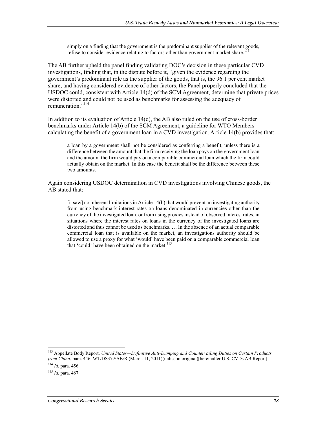simply on a finding that the government is the predominant supplier of the relevant goods, refuse to consider evidence relating to factors other than government market share.<sup>1</sup>

The AB further upheld the panel finding validating DOC's decision in these particular CVD investigations, finding that, in the dispute before it, "given the evidence regarding the government's predominant role as the supplier of the goods, that is, the 96.1 per cent market share, and having considered evidence of other factors, the Panel properly concluded that the USDOC could, consistent with Article 14(d) of the SCM Agreement, determine that private prices were distorted and could not be used as benchmarks for assessing the adequacy of remuneration<sup>"114</sup>

In addition to its evaluation of Article 14(d), the AB also ruled on the use of cross-border benchmarks under Article 14(b) of the SCM Agreement, a guideline for WTO Members calculating the benefit of a government loan in a CVD investigation. Article 14(b) provides that:

a loan by a government shall not be considered as conferring a benefit, unless there is a difference between the amount that the firm receiving the loan pays on the government loan and the amount the firm would pay on a comparable commercial loan which the firm could actually obtain on the market. In this case the benefit shall be the difference between these two amounts.

Again considering USDOC determination in CVD investigations involving Chinese goods, the AB stated that:

[it saw] no inherent limitations in Article 14(b) that would prevent an investigating authority from using benchmark interest rates on loans denominated in currencies other than the currency of the investigated loan, or from using proxies instead of observed interest rates, in situations where the interest rates on loans in the currency of the investigated loans are distorted and thus cannot be used as benchmarks. … In the absence of an actual comparable commercial loan that is available on the market, an investigations authority should be allowed to use a proxy for what 'would' have been paid on a comparable commercial loan that 'could' have been obtained on the market.<sup>115</sup>

<sup>113</sup> Appellate Body Report, *United States—Definitive Anti-Dumping and Countervailing Duties on Certain Products from China*, para. 446, WT/DS379/AB/R (March 11, 2011)(italics in original)[hereinafter U.S. CVDs AB Report].

<sup>114</sup> *Id.* para. 456.

<sup>115</sup> *Id.* para. 487.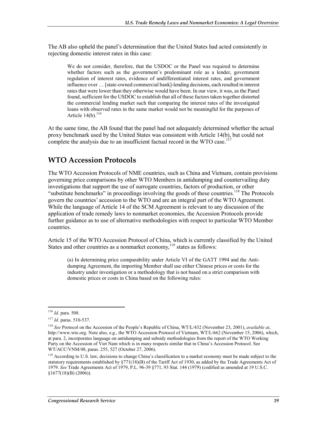The AB also upheld the panel's determination that the United States had acted consistently in rejecting domestic interest rates in this case:

We do not consider, therefore, that the USDOC or the Panel was required to determine whether factors such as the government's predominant role as a lender, government regulation of interest rates, evidence of undifferentiated interest rates, and government influence over … [state-owned commercial bank]-lending decisions, each resulted in interest rates that were lower than they otherwise would have been. In our view, it was, as the Panel found, sufficient for the USDOC to establish that all of these factors taken together distorted the commercial lending market such that comparing the interest rates of the investigated loans with observed rates in the same market would not be meaningful for the purposes of Article  $14(b)$ .<sup>116</sup>

At the same time, the AB found that the panel had not adequately determined whether the actual proxy benchmark used by the United States was consistent with Article 14(b), but could not complete the analysis due to an insufficient factual record in the WTO case.<sup>11</sup>

### **WTO Accession Protocols**

The WTO Accession Protocols of NME countries, such as China and Vietnam, contain provisions governing price comparisons by other WTO Members in antidumping and countervailing duty investigations that support the use of surrogate countries, factors of production, or other "substitute benchmarks" in proceedings involving the goods of these countries.<sup>118</sup> The Protocols govern the countries' accession to the WTO and are an integral part of the WTO Agreement. While the language of Article 14 of the SCM Agreement is relevant to any discussion of the application of trade remedy laws to nonmarket economies, the Accession Protocols provide further guidance as to use of alternative methodologies with respect to particular WTO Member countries.

Article 15 of the WTO Accession Protocol of China, which is currently classified by the United States and other countries as a nonmarket economy,  $119$  states as follows:

(a) In determining price comparability under Article VI of the GATT 1994 and the Antidumping Agreement, the importing Member shall use either Chinese prices or costs for the industry under investigation or a methodology that is not based on a strict comparison with domestic prices or costs in China based on the following rules:

<sup>&</sup>lt;u>.</u> <sup>116</sup> *Id.* para. 508.

<sup>117</sup> *Id.* paras. 510-537.

<sup>118</sup> *See* Protocol on the Accession of the People's Republic of China, WT/L/432 (November 23, 2001), *available at*, http://www.wto.org. Note also, e.g., the WTO Accession Protocol of Vietnam, WT/L/662 (November 15, 2006), which, at para. 2, incorporates language on antidumping and subsidy methodologies from the report of the WTO Working Party on the Accession of Viet Nam which is in many respects similar that in China's Accession Protocol. See WT/ACC/VNM/48, paras. 255, 527 (October 27, 2006).

<sup>&</sup>lt;sup>119</sup> According to U.S. law, decisions to change China's classification to a market economy must be made subject to the statutory requirements established by  $\S771(18)(B)$  of the Tariff Act of 1930, as added by the Trade Agreements Act of 1979. *See* Trade Agreements Act of 1979, P.L. 96-39 §771, 93 Stat. 144 (1979) (codified as amended at 19 U.S.C. §1677(18)(B) (2006)).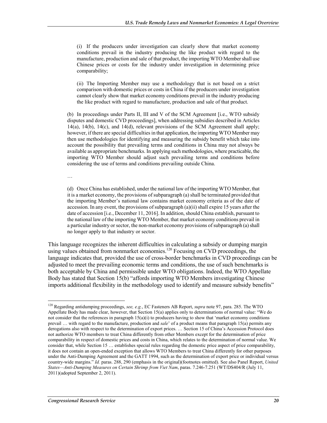(i) If the producers under investigation can clearly show that market economy conditions prevail in the industry producing the like product with regard to the manufacture, production and sale of that product, the importing WTO Member shall use Chinese prices or costs for the industry under investigation in determining price comparability;

(ii) The Importing Member may use a methodology that is not based on a strict comparison with domestic prices or costs in China if the producers under investigation cannot clearly show that market economy conditions prevail in the industry producing the like product with regard to manufacture, production and sale of that product.

(b) In proceedings under Parts II, III and V of the SCM Agreement [i.e., WTO subsidy disputes and domestic CVD proceedings], when addressing subsidies described in Articles 14(a), 14(b), 14(c), and 14(d), relevant provisions of the SCM Agreement shall apply; however, if there are special difficulties in that application, the importing WTO Member may then use methodologies for identifying and measuring the subsidy benefit which take into account the possibility that prevailing terms and conditions in China may not always be available as appropriate benchmarks. In applying such methodologies, where practicable, the importing WTO Member should adjust such prevailing terms and conditions before considering the use of terms and conditions prevailing outside China.

…

<u>.</u>

(d) Once China has established, under the national law of the importing WTO Member, that it is a market economy, the provisions of subparagraph (a) shall be terminated provided that the importing Member's national law contains market economy criteria as of the date of accession. In any event, the provisions of subparagraph  $(a)(ii)$  shall expire 15 years after the date of accession [i.e., December 11, 2016]. In addition, should China establish, pursuant to the national law of the importing WTO Member, that market economy conditions prevail in a particular industry or sector, the non-market economy provisions of subparagraph (a) shall no longer apply to that industry or sector.

This language recognizes the inherent difficulties in calculating a subsidy or dumping margin using values obtained from nonmarket economies.<sup>120</sup> Focusing on CVD proceedings, the language indicates that, provided the use of cross-border benchmarks in CVD proceedings can be adjusted to meet the prevailing economic terms and conditions, the use of such benchmarks is both acceptable by China and permissible under WTO obligations. Indeed, the WTO Appellate Body has stated that Section 15(b) "affords importing WTO Members investigating Chinese imports additional flexibility in the methodology used to identify and measure subsidy benefits"

<sup>120</sup> Regarding antidumping proceedings, *see, e.g.*, EC Fasteners AB Report, *supra* note 97, para. 285. The WTO Appellate Body has made clear, however, that Section 15(a) applies only to determinations of normal value: "We do not consider that the references in paragraph 15(a)(i) to producers having to show that 'market economy conditions prevail … with regard to the manufacture, production and *sale*' of a product means that paragraph 15(a) permits any derogations also with respect to the determination of export prices. … Section 15 of China's Accession Protocol does not authorize WTO members to treat China differently from other Members except for the determination of price comparability in respect of domestic prices and costs in China, which relates to the determination of normal value. We consider that, while Section 15 … establishes special rules regarding the domestic price aspect of price comparability, it does not contain an open-ended exception that allows WTO Members to treat China differently for other purposes under the Anti-Dumping Agreement and the GATT 1994, such as the determination of export price or individual versus country-wide margins." *Id.* paras. 288, 290 (emphasis in the original)(footnotes omitted). See also Panel Report, *United States—Anti-Dumping Measures on Certain Shrimp from Viet Nam*, paras. 7.246-7.251 (WT/DS404/R (July 11, 2011)(adopted September 2, 2011).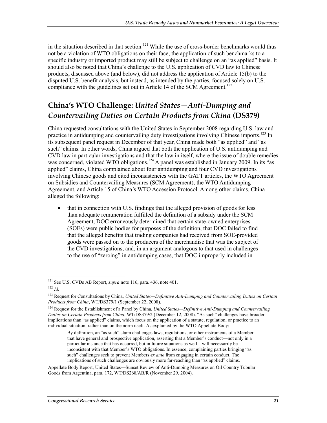in the situation described in that section.<sup>121</sup> While the use of cross-border benchmarks would thus not be a violation of WTO obligations on their face, the application of such benchmarks to a specific industry or imported product may still be subject to challenge on an "as applied" basis. It should also be noted that China's challenge to the U.S. application of CVD law to Chinese products, discussed above (and below), did not address the application of Article 15(b) to the disputed U.S. benefit analysis, but instead, as intended by the parties, focused solely on U.S. compliance with the guidelines set out in Article 14 of the SCM Agreement.<sup>122</sup>

### **China's WTO Challenge:** *United States—Anti-Dumping and Countervailing Duties on Certain Products from China* **(DS379)**

China requested consultations with the United States in September 2008 regarding U.S. law and practice in antidumping and countervailing duty investigations involving Chinese imports.<sup>123</sup> In its subsequent panel request in December of that year, China made both "as applied" and "as such" claims. In other words, China argued that both the application of U.S. antidumping and CVD law in particular investigations and that the law in itself, where the issue of double remedies was concerned, violated WTO obligations.<sup>124</sup> A panel was established in January 2009. In its "as applied" claims, China complained about four antidumping and four CVD investigations involving Chinese goods and cited inconsistencies with the GATT articles, the WTO Agreement on Subsidies and Countervailing Measures (SCM Agreement), the WTO Antidumping Agreement, and Article 15 of China's WTO Accession Protocol. Among other claims, China alleged the following:

• that in connection with U.S. findings that the alleged provision of goods for less than adequate remuneration fulfilled the definition of a subsidy under the SCM Agreement, DOC erroneously determined that certain state-owned enterprises (SOEs) were public bodies for purposes of the definition, that DOC failed to find that the alleged benefits that trading companies had received from SOE-provided goods were passed on to the producers of the merchandise that was the subject of the CVD investigations, and, in an argument analogous to that used in challenges to the use of "zeroing" in antidumping cases, that DOC improperly included in

<u>.</u>

By definition, an "as such" claim challenges laws, regulations, or other instruments of a Member that have general and prospective application, asserting that a Member's conduct—not only in a particular instance that has occurred, but in future situations as well—will necessarily be inconsistent with that Member's WTO obligations. In essence, complaining parties bringing "as such" challenges seek to prevent Members *ex ante* from engaging in certain conduct. The implications of such challenges are obviously more far-reaching than "as applied" claims.

Appellate Body Report, United States—Sunset Review of Anti-Dumping Measures on Oil Country Tubular Goods from Argentina, para. 172, WT/DS268/AB/R (November 29, 2004).

<sup>121</sup> See U.S. CVDs AB Report, *supra* note 116, para. 436, note 401.

<sup>122</sup> *Id.*

<sup>123</sup> Request for Consultations by China, *United States—Definitive Anti-Dumping and Countervailing Duties on Certain Products from China*, WT/DS379/1 (September 22, 2008).

<sup>124</sup> Request for the Establishment of a Panel by China, *United States—Definitive Anti-Dumping and Countervailing Duties on Certain Products from China*, WT/DS379/2 (December 12, 2008). "As such" challenges have broader implications than "as applied" claims, which focus on the application of a statute, regulation, or practice to an individual situation, rather than on the norm itself. As explained by the WTO Appellate Body: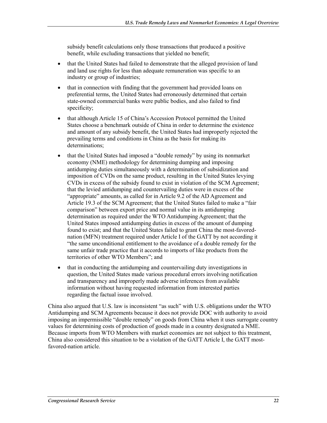subsidy benefit calculations only those transactions that produced a positive benefit, while excluding transactions that yielded no benefit;

- that the United States had failed to demonstrate that the alleged provision of land and land use rights for less than adequate remuneration was specific to an industry or group of industries;
- that in connection with finding that the government had provided loans on preferential terms, the United States had erroneously determined that certain state-owned commercial banks were public bodies, and also failed to find specificity;
- that although Article 15 of China's Accession Protocol permitted the United States choose a benchmark outside of China in order to determine the existence and amount of any subsidy benefit, the United States had improperly rejected the prevailing terms and conditions in China as the basis for making its determinations;
- that the United States had imposed a "double remedy" by using its nonmarket economy (NME) methodology for determining dumping and imposing antidumping duties simultaneously with a determination of subsidization and imposition of CVDs on the same product, resulting in the United States levying CVDs in excess of the subsidy found to exist in violation of the SCM Agreement; that the levied antidumping and countervailing duties were in excess of the "appropriate" amounts, as called for in Article 9.2 of the AD Agreement and Article 19.3 of the SCM Agreement; that the United States failed to make a "fair comparison" between export price and normal value in its antidumping determination as required under the WTO Antidumping Agreement; that the United States imposed antidumping duties in excess of the amount of dumping found to exist; and that the United States failed to grant China the most-favorednation (MFN) treatment required under Article I of the GATT by not according it "the same unconditional entitlement to the avoidance of a double remedy for the same unfair trade practice that it accords to imports of like products from the territories of other WTO Members"; and
- that in conducting the antidumping and countervailing duty investigations in question, the United States made various procedural errors involving notification and transparency and improperly made adverse inferences from available information without having requested information from interested parties regarding the factual issue involved.

China also argued that U.S. law is inconsistent "as such" with U.S. obligations under the WTO Antidumping and SCM Agreements because it does not provide DOC with authority to avoid imposing an impermissible "double remedy" on goods from China when it uses surrogate country values for determining costs of production of goods made in a country designated a NME. Because imports from WTO Members with market economies are not subject to this treatment, China also considered this situation to be a violation of the GATT Article I, the GATT mostfavored-nation article.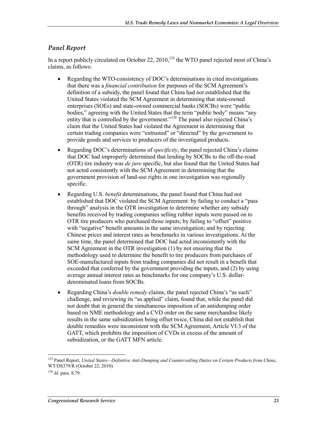#### *Panel Report*

In a report publicly circulated on October 22,  $2010$ ,<sup>125</sup> the WTO panel rejected most of China's claims, as follows:

- Regarding the WTO-consistency of DOC's determinations in cited investigations that there was a *financial contribution* for purposes of the SCM Agreement's definition of a subsidy, the panel found that China had not established that the United States violated the SCM Agreement in determining that state-owned enterprises (SOEs) and state-owned commercial banks (SOCBs) were "public bodies," agreeing with the United States that the term "public body" means "any entity that is controlled by the government."<sup>126</sup> The panel also rejected China's claim that the United States had violated the Agreement in determining that certain trading companies were "entrusted" or "directed" by the government to provide goods and services to producers of the investigated products.
- Regarding DOC's determinations of *specificity*, the panel rejected China's claims that DOC had improperly determined that lending by SOCBs to the off-the-road (OTR) tire industry was *de jure* specific, but also found that the United States had not acted consistently with the SCM Agreement in determining that the government provision of land-use rights in one investigation was regionally specific.
- Regarding U.S. *benefit* determinations, the panel found that China had not established that DOC violated the SCM Agreement: by failing to conduct a "pass through" analysis in the OTR investigation to determine whether any subsidy benefits received by trading companies selling rubber inputs were passed on to OTR tire producers who purchased those inputs; by failing to "offset" positive with "negative" benefit amounts in the same investigation; and by rejecting Chinese prices and interest rates as benchmarks in various investigations. At the same time, the panel determined that DOC had acted inconsistently with the SCM Agreement in the OTR investigation (1) by not ensuring that the methodology used to determine the benefit to tire producers from purchases of SOE-manufactured inputs from trading companies did not result in a benefit that exceeded that conferred by the government providing the inputs, and (2) by using average annual interest rates as benchmarks for one company's U.S. dollardenominated loans from SOCBs.
- Regarding China's *double remedy* claims, the panel rejected China's "as such" challenge, and reviewing its "as applied" claim, found that, while the panel did not doubt that in general the simultaneous imposition of an antidumping order based on NME methodology and a CVD order on the same merchandise likely results in the same subsidization being offset twice, China did not establish that double remedies were inconsistent with the SCM Agreement, Article VI:3 of the GATT, which prohibits the imposition of CVDs in excess of the amount of subsidization, or the GATT MFN article.

<sup>125</sup> Panel Report, *United States—Definitive Anti-Dumping and Countervailing Duties on Certain Products from China*, WT/DS379/R (October 22, 2010).

<sup>126</sup> *Id.* para. 8.79.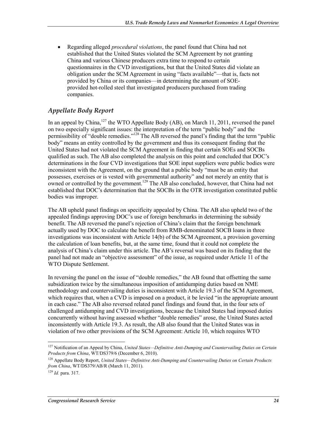• Regarding alleged *procedural violations*, the panel found that China had not established that the United States violated the SCM Agreement by not granting China and various Chinese producers extra time to respond to certain questionnaires in the CVD investigations, but that the United States did violate an obligation under the SCM Agreement in using "facts available"—that is, facts not provided by China or its companies—in determining the amount of SOEprovided hot-rolled steel that investigated producers purchased from trading companies.

#### *Appellate Body Report*

In an appeal by China,<sup>127</sup> the WTO Appellate Body (AB), on March 11, 2011, reversed the panel on two especially significant issues: the interpretation of the term "public body" and the permissibility of "double remedies."128 The AB reversed the panel's finding that the term "public body" means an entity controlled by the government and thus its consequent finding that the United States had not violated the SCM Agreement in finding that certain SOEs and SOCBs qualified as such. The AB also completed the analysis on this point and concluded that DOC's determinations in the four CVD investigations that SOE input suppliers were public bodies were inconsistent with the Agreement, on the ground that a public body "must be an entity that possesses, exercises or is vested with governmental authority" and not merely an entity that is owned or controlled by the government.<sup>129</sup> The AB also concluded, however, that China had not established that DOC's determination that the SOCBs in the OTR investigation constituted public bodies was improper.

The AB upheld panel findings on specificity appealed by China. The AB also upheld two of the appealed findings approving DOC's use of foreign benchmarks in determining the subsidy benefit. The AB reversed the panel's rejection of China's claim that the foreign benchmark actually used by DOC to calculate the benefit from RMB-denominated SOCB loans in three investigations was inconsistent with Article 14(b) of the SCM Agreement, a provision governing the calculation of loan benefits, but, at the same time, found that it could not complete the analysis of China's claim under this article. The AB's reversal was based on its finding that the panel had not made an "objective assessment" of the issue, as required under Article 11 of the WTO Dispute Settlement.

In reversing the panel on the issue of "double remedies," the AB found that offsetting the same subsidization twice by the simultaneous imposition of antidumping duties based on NME methodology and countervailing duties is inconsistent with Article 19.3 of the SCM Agreement, which requires that, when a CVD is imposed on a product, it be levied "in the appropriate amount" in each case." The AB also reversed related panel findings and found that, in the four sets of challenged antidumping and CVD investigations, because the United States had imposed duties concurrently without having assessed whether "double remedies" arose, the United States acted inconsistently with Article 19.3. As result, the AB also found that the United States was in violation of two other provisions of the SCM Agreement: Article 10, which requires WTO

<sup>1</sup> 127 Notification of an Appeal by China, *United States—Definitive Anti-Dumping and Countervailing Duties on Certain Products from China*, WT/DS379/6 (December 6, 2010).

<sup>128</sup> Appellate Body Report, *United States—Definitive Anti-Dumping and Countervailing Duties on Certain Products from China*, WT/DS379/AB/R (March 11, 2011).

<sup>129</sup> *Id.* para. 317.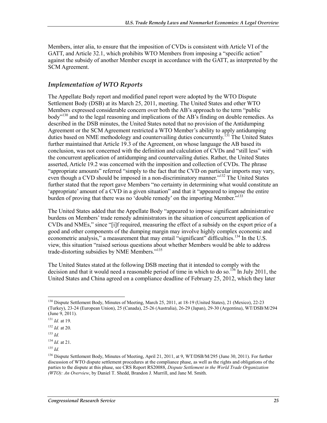Members, inter alia, to ensure that the imposition of CVDs is consistent with Article VI of the GATT, and Article 32.1, which prohibits WTO Members from imposing a "specific action" against the subsidy of another Member except in accordance with the GATT, as interpreted by the SCM Agreement.

#### *Implementation of WTO Reports*

The Appellate Body report and modified panel report were adopted by the WTO Dispute Settlement Body (DSB) at its March 25, 2011, meeting. The United States and other WTO Members expressed considerable concern over both the AB's approach to the term "public body<sup>3130</sup> and to the legal reasoning and implications of the AB's finding on double remedies. As described in the DSB minutes, the United States noted that no provision of the Antidumping Agreement or the SCM Agreement restricted a WTO Member's ability to apply antidumping duties based on NME methodology and countervailing duties concurrently.<sup>131</sup> The United States further maintained that Article 19.3 of the Agreement, on whose language the AB based its conclusion, was not concerned with the definition and calculation of CVDs and "still less" with the concurrent application of antidumping and countervailing duties. Rather, the United States asserted, Article 19.2 was concerned with the imposition and collection of CVDs. The phrase "appropriate amounts" referred "simply to the fact that the CVD on particular imports may vary, even though a CVD should be imposed in a non-discriminatory manner."<sup>132</sup> The United States further stated that the report gave Members "no certainty in determining what would constitute an 'appropriate' amount of a CVD in a given situation" and that it "appeared to impose the entire burden of proving that there was no 'double remedy' on the importing Member.<sup>5133</sup>

The United States added that the Appellate Body "appeared to impose significant administrative burdens on Members' trade remedy administrators in the situation of concurrent application of CVDs and NMEs," since "[i]f required, measuring the effect of a subsidy on the export price of a good and other components of the dumping margin may involve highly complex economic and econometric analysis," a measurement that may entail "significant" difficulties.<sup>134</sup> In the U.S. view, this situation "raised serious questions about whether Members would be able to address trade-distorting subsidies by NME Members."<sup>135</sup>

The United States stated at the following DSB meeting that it intended to comply with the decision and that it would need a reasonable period of time in which to do so.<sup>136</sup> In July 2011, the United States and China agreed on a compliance deadline of February 25, 2012, which they later

<sup>&</sup>lt;sup>130</sup> Dispute Settlement Body, Minutes of Meeting, March 25, 2011, at 18-19 (United States), 21 (Mexico), 22-23 (Turkey), 23-24 (European Union), 25 (Canada), 25-26 (Australia), 26-29 (Japan), 29-30 (Argentina), WT/DSB/M/294 (June 9, 2011).

<sup>131</sup> *Id.* at 19.

<sup>132</sup> *Id.* at 20.

<sup>133</sup> *Id.*

<sup>134</sup> *Id.* at 21.

<sup>135</sup> *Id.*

<sup>&</sup>lt;sup>136</sup> Dispute Settlement Body, Minutes of Meeting, April 21, 2011, at 9, WT/DSB/M/295 (June 30, 2011). For further discussion of WTO dispute settlement procedures at the compliance phase, as well as the rights and obligations of the parties to the dispute at this phase, see CRS Report RS20088, *Dispute Settlement in the World Trade Organization (WTO): An Overview*, by Daniel T. Shedd, Brandon J. Murrill, and Jane M. Smith.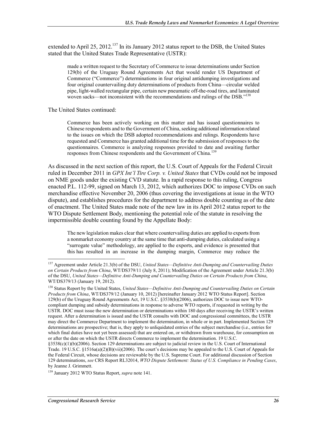extended to April 25, 2012.<sup>137</sup> In its January 2012 status report to the DSB, the United States stated that the United States Trade Representative (USTR):

made a written request to the Secretary of Commerce to issue determinations under Section 129(b) of the Uruguay Round Agreements Act that would render US Department of Commerce ("Commerce") determinations in four original antidumping investigations and four original countervailing duty determinations of products from China—circular welded pipe, light-walled rectangular pipe, certain new pneumatic off-the-road tires, and laminated woven sacks—not inconsistent with the recommendations and rulings of the DSB."<sup>138</sup>

The United States continued:

Commerce has been actively working on this matter and has issued questionnaires to Chinese respondents and to the Government of China, seeking additional information related to the issues on which the DSB adopted recommendations and rulings. Respondents have requested and Commerce has granted additional time for the submission of responses to the questionnaires. Commerce is analyzing responses provided to date and awaiting further responses from Chinese respondents and the Government of China.<sup>139</sup>

As discussed in the next section of this report, the U.S. Court of Appeals for the Federal Circuit ruled in December 2011 in *GPX Int'l Tire Corp. v. United States* that CVDs could not be imposed on NME goods under the existing CVD statute. In a rapid response to this ruling, Congress enacted P.L. 112-99, signed on March 13, 2012, which authorizes DOC to impose CVDs on such merchandise effective November 20, 2006 (thus covering the investigations at issue in the WTO dispute), and establishes procedures for the department to address double counting as of the date of enactment. The United States made note of the new law in its April 2012 status report to the WTO Dispute Settlement Body, mentioning the potential role of the statute in resolving the impermissible double counting found by the Appellate Body:

The new legislation makes clear that where countervailing duties are applied to exports from a nonmarket economy country at the same time that anti-dumping duties, calculated using a "surrogate value" methodology, are applied to the exports, and evidence is presented that this has resulted in an increase in the dumping margin, Commerce may reduce the

<sup>137</sup> Agreement under Article 21.3(b) of the DSU, *United States—Definitive Anti-Dumping and Countervailing Duties on Certain Products from China*, WT/DS379/11 (July 8, 2011); Modification of the Agreement under Article 21.3(b) of the DSU, *United States—Definitive Anti-Dumping and Countervailing Duties on Certain Products from China*, WT/DS379/13 (January 19, 2012).

<sup>138</sup> Status Report by the United States, *United States—Definitive Anti-Dumping and Countervailing Duties on Certain Products from China*, WT/DS379/12 (January 10, 2012) [hereinafter January 2012 WTO Status Report]. Section 129(b) of the Uruguay Round Agreements Act, 19 U.S.C. §3538(b)(2006), authorizes DOC to issue new WTOcompliant dumping and subsidy determinations in response to adverse WTO reports, if requested in writing by the USTR. DOC must issue the new determination or determinations within 180 days after receiving the USTR's written request. After a determination is issued and the USTR consults with DOC and congressional committees, the USTR may direct the Commerce Department to implement the determination, in whole or in part. Implemented Section 129 determinations are prospective; that is, they apply to unliquidated entries of the subject merchandise (i.e., entries for which final duties have not yet been assessed) that are entered on, or withdrawn from warehouse, for consumption on or after the date on which the USTR directs Commerce to implement the determination. 19 U.S.C.

<sup>§3538(</sup>c)(1)(b)(2006). Section 129 determinations are subject to judicial review in the U.S. Court of International Trade. 19 U.S.C. §1516a(a)(2)(B)(vii)(2006). The court's decisions may be appealed to the U.S. Court of Appeals for the Federal Circuit, whose decisions are reviewable by the U.S. Supreme Court. For additional discussion of Section 129 determinations, *see* CRS Report RL32014, *WTO Dispute Settlement: Status of U.S. Compliance in Pending Cases*, by Jeanne J. Grimmett.

<sup>139</sup> January 2012 WTO Status Report, *supra* note 141.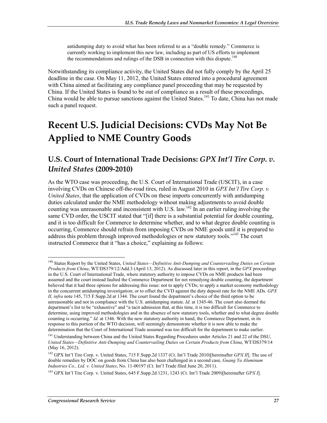antidumping duty to avoid what has been referred to as a "double remedy." Commerce is currently working to implement this new law, including as part of US efforts to implement the recommendations and rulings of the DSB in connection with this dispute.<sup>140</sup>

Notwithstanding its compliance activity, the United States did not fully comply by the April 25 deadline in the case. On May 11, 2012, the United States entered into a procedural agreement with China aimed at facilitating any compliance panel proceeding that may be requested by China. If the United States is found to be out of compliance as a result of these proceedings, China would be able to pursue sanctions against the United States.<sup>141</sup> To date, China has not made such a panel request.

## **Recent U.S. Judicial Decisions: CVDs May Not Be Applied to NME Country Goods**

#### **U.S. Court of International Trade Decisions:** *GPX Int'l Tire Corp. v. United States* **(2009-2010)**

As the WTO case was proceeding, the U.S. Court of International Trade (USCIT), in a case involving CVDs on Chinese off-the-road tires, ruled in August 2010 in *GPX Int'l Tire Corp. v. United States*, that the application of CVDs on these imports concurrently with antidumping duties calculated under the NME methodology without making adjustments to avoid double counting was unreasonable and inconsistent with U.S. law.<sup>142</sup> In an earlier ruling involving the same CVD order, the USCIT stated that "[if] there is a substantial potential for double counting, and it is too difficult for Commerce to determine whether, and to what degree double counting is occurring, Commerce should refrain from imposing CVDs on NME goods until it is prepared to address this problem through improved methodologies or new statutory tools."<sup>143</sup> The court instructed Commerce that it "has a choice," explaining as follows:

<sup>140</sup> Status Report by the United States, *United States—Definitive Anti-Dumping and Countervailing Duties on Certain Products from China*, WT/DS379/12/Add.3 (April 13, 2012). As discussed later in this report, in the *GPX* proceedings in the U.S. Court of International Trade, where statutory authority to impose CVDs on NME products had been assumed and the court instead faulted the Commerce Department for not remedying double counting, the department believed that it had three options for addressing this issue: not to apply CVDs; to apply a market economy methodology in the concurrent antidumping investigation; or to offset the CVD against the duty deposit rate for the NME ADs*. GPX II, infra* note 145, 715 F.Supp.2d at 1344. The court found the department's choice of the third option to be unreasonable and not in compliance with the U.S. antidumping statute. *Id*. at 1345-46. The court also deemed the department's list to be "exhaustive" and "a tacit admission that, at this time, it is too difficult for Commerce to determine, using improved methodologies and in the absence of new statutory tools, whether and to what degree double counting is occurring." *Id.* at 1346. With the new statutory authority in hand, the Commerce Department, in its response to this portion of the WTO decision, will seemingly demonstrate whether it is now able to make the determination that the Court of International Trade assumed was too difficult for the department to make earlier.

<sup>&</sup>lt;sup>141</sup> Understanding between China and the United States Regarding Procedures under Articles 21 and 22 of the DSU, *United States—Definitive Anti-Dumping and Countervailing Duties on Certain Products from China*, WT/DS379/14 (May 16, 2012).

<sup>142</sup> GPX Int'l Tire Corp. v. United States, 715 F.Supp.2d 1337 (Ct. Int'l Trade 2010)[hereinafter *GPX II*]. The use of double remedies by DOC on goods from China has also been challenged in a second case, *Guang Ya Aluminum Industries Co., Ltd. v. United States*, No. 11-00197 (Ct. Int'l Trade filed June 20, 2011).

<sup>143</sup> GPX Int'l Tire Corp. v. United States, 645 F.Supp.2d 1231, 1243 (Ct. Int'l Trade 2009)[hereinafter *GPX I*].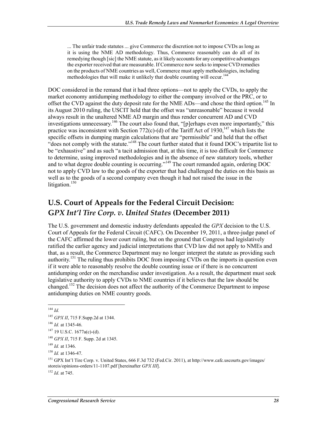... The unfair trade statutes ... give Commerce the discretion not to impose CVDs as long as it is using the NME AD methodology. Thus, Commerce reasonably can do all of its remedying though [sic] the NME statute, as it likely accounts for any competitive advantages the exporter received that are measurable. If Commerce now seeks to impose CVD remedies on the products of NME countries as well, Commerce must apply methodologies, including methodologies that will make it unlikely that double counting will occur.<sup>144</sup>

DOC considered in the remand that it had three options—not to apply the CVDs, to apply the market economy antidumping methodology to either the company involved or the PRC, or to offset the CVD against the duty deposit rate for the NME ADs—and chose the third option.<sup>145</sup> In its August 2010 ruling, the USCIT held that the offset was "unreasonable" because it would always result in the unaltered NME AD margin and thus render concurrent AD and CVD investigations unnecessary.<sup>146</sup> The court also found that, "[p]erhaps even more importantly," this practice was inconsistent with Section 772(c)-(d) of the Tariff Act of 1930,<sup>147</sup> which lists the specific offsets in dumping margin calculations that are "permissible" and held that the offset "does not comply with the statute."148 The court further stated that it found DOC's tripartite list to be "exhaustive" and as such "a tacit admission that, at this time, it is too difficult for Commerce to determine, using improved methodologies and in the absence of new statutory tools, whether and to what degree double counting is occurring."<sup>149</sup> The court remanded again, ordering DOC not to apply CVD law to the goods of the exporter that had challenged the duties on this basis as well as to the goods of a second company even though it had not raised the issue in the litigation. $150$ 

### **U.S. Court of Appeals for the Federal Circuit Decision: G***PX Int'l Tire Corp. v. United States* **(December 2011)**

The U.S. government and domestic industry defendants appealed the *GPX* decision to the U.S. Court of Appeals for the Federal Circuit (CAFC). On December 19, 2011, a three-judge panel of the CAFC affirmed the lower court ruling, but on the ground that Congress had legislatively ratified the earlier agency and judicial interpretations that CVD law did not apply to NMEs and that, as a result, the Commerce Department may no longer interpret the statute as providing such authority.<sup>151</sup> The ruling thus prohibits DOC from imposing CVDs on the imports in question even if it were able to reasonably resolve the double counting issue or if there is no concurrent antidumping order on the merchandise under investigation. As a result, the department must seek legislative authority to apply CVDs to NME countries if it believes that the law should be changed.152 The decision does not affect the authority of the Commerce Department to impose antidumping duties on NME country goods.

1

<sup>152</sup> *Id*. at 745.

<sup>144</sup> *Id.*

<sup>145</sup> *GPX II*, 715 F.Supp.2d at 1344.

<sup>146</sup> *Id.* at 1345-46.

 $147$  19 U.S.C. 1677a(c)-(d).

<sup>148</sup> *GPX II*, 715 F. Supp. 2d at 1345.

<sup>149</sup> *Id.* at 1346.

<sup>150</sup> *Id.* at 1346-47.

<sup>151</sup> GPX Int'l Tire Corp. v. United States, 666 F.3d 732 (Fed.Cir. 2011), at http://www.cafc.uscourts.gov/images/ storeis/opinions-orders/11-1107.pdf [hereinafter *GPX III*].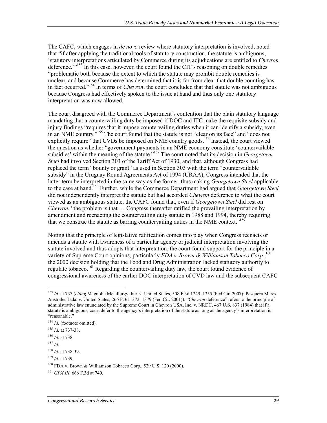The CAFC, which engages in *de novo* review where statutory interpretation is involved, noted that "if after applying the traditional tools of statutory construction, the statute is ambiguous, 'statutory interpretations articulated by Commerce during its adjudications are entitled to *Chevron* deference."<sup>153</sup> In this case, however, the court found the CIT's reasoning on double remedies "problematic both because the extent to which the statute may prohibit double remedies is unclear, and because Commerce has determined that it is far from clear that double counting has in fact occurred."154 In terms of *Chevron*, the court concluded that that statute was not ambiguous because Congress had effectively spoken to the issue at hand and thus only one statutory interpretation was now allowed.

The court disagreed with the Commerce Department's contention that the plain statutory language mandating that a countervailing duty be imposed if DOC and ITC make the requisite subsidy and injury findings "requires that it impose countervailing duties when it can identify a subsidy, even in an NME country."155 The court found that the statute is not "clear on its face" and "does not explicitly require" that CVDs be imposed on NME country goods.<sup>156</sup> Instead, the court viewed the question as whether "government payments in an NME economy constitute 'countervailable subsidies' within the meaning of the statute."157 The court noted that its decision in *Georgetown Steel* had involved Section 303 of the Tariff Act of 1930, and that, although Congress had replaced the term "bounty or grant" as used in Section 303 with the term "countervailable subsidy" in the Uruguay Round Agreements Act of 1994 (URAA), Congress intended that the latter term be interpreted in the same way as the former, thus making *Georgetown Steel* applicable to the case at hand.158 Further, while the Commerce Department had argued that *Georgetown Steel* did not independently interpret the statute but had accorded *Chevron* deference to what the court viewed as an ambiguous statute, the CAFC found that, even if *Georgetown Steel* did rest on *Chevron*, "the problem is that ... Congress thereafter ratified the prevailing interpretation by amendment and reenacting the countervailing duty statute in 1988 and 1994, thereby requiring that we construe the statute as barring countervailing duties in the NME context."<sup>159</sup>

Noting that the principle of legislative ratification comes into play when Congress reenacts or amends a statute with awareness of a particular agency or judicial interpretation involving the statute involved and thus adopts that interpretation, the court found support for the principle in a variety of Supreme Court opinions, particularly *FDA v. Brown & Williamson Tobacco Corp.*,<sup>160</sup> the 2000 decision holding that the Food and Drug Administration lacked statutory authority to regulate tobacco.<sup>161</sup> Regarding the countervailing duty law, the court found evidence of congressional awareness of the earlier DOC interpretation of CVD law and the subsequent CAFC

<u>.</u>

<sup>153</sup> *Id*. at 737 (*citing* Magnolia Metallurgy, Inc. v. United States, 508 F.3d 1249, 1355 (Fed.Cir. 2007); Pesquera Mares Australes Ltda. v. United States, 266 F.3d 1372, 1379 (Fed.Cir. 2001)). "*Chevron* deference" refers to the principle of administrative law enunciated by the Supreme Court in Chevron USA, Inc. v. NRDC, 467 U.S. 837 (1984) that if a statute is ambiguous, court defer to the agency's interpretation of the statute as long as the agency's interpretation is "reasonable."

<sup>&</sup>lt;sup>154</sup> *Id.* (footnote omitted).

<sup>155</sup> *Id.* at 737-38.

<sup>156</sup> *Id.* at 738.

<sup>157</sup> *Id.*

<sup>158</sup> *Id.* at 738-39.

<sup>159</sup> *Id.* at 739.

<sup>160</sup> FDA v. Brown & Williamson Tobacco Corp., 529 U.S. 120 (2000).

<sup>161</sup> *GPX III,* 666 F.3d at 740.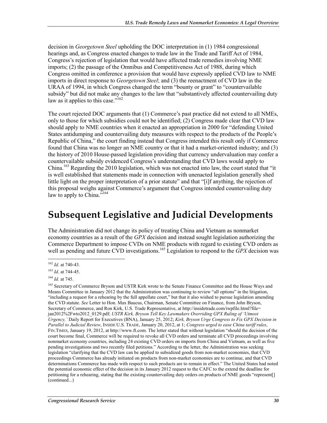decision in *Georgetown Steel* upholding the DOC interpretation in (1) 1984 congressional hearings and, as Congress enacted changes to trade law in the Trade and Tariff Act of 1984, Congress's rejection of legislation that would have affected trade remedies involving NME imports; (2) the passage of the Omnibus and Competitiveness Act of 1988, during which Congress omitted in conference a provision that would have expressly applied CVD law to NME imports in direct response to *Georgetown Steel*; and (3) the reenactment of CVD law in the URAA of 1994, in which Congress changed the term "bounty or grant" to "countervailable subsidy" but did not make any changes to the law that "substantively affected countervailing duty law as it applies to this case."<sup>162</sup>

The court rejected DOC arguments that (1) Commerce's past practice did not extend to all NMEs, only to those for which subsidies could not be identified; (2) Congress made clear that CVD law should apply to NME countries when it enacted an appropriation in 2000 for "defending United States antidumping and countervailing duty measures with respect to the products of the People's Republic of China," the court finding instead that Congress intended this result only if Commerce found that China was no longer an NME country or that it had a market-oriented industry; and (3) the history of 2010 House-passed legislation providing that currency undervaluation may confer a countervailable subsidy evidenced Congress's understanding that CVD laws would apply to China.163 Regarding the 2010 legislation, which was not enacted into law, the court stated that "it is well established that statements made in connection with unenacted legislation generally shed little light on the proper interpretation of a prior statute" and that "[i]f anything, the rejection of this proposal weighs against Commerce's argument that Congress intended countervailing duty law to apply to China."<sup>164</sup>

## **Subsequent Legislative and Judicial Developments**

The Administration did not change its policy of treating China and Vietnam as nonmarket economy countries as a result of the *GPX* decision and instead sought legislation authorizing the Commerce Department to impose CVDs on NME products with regard to existing CVD orders as well as pending and future CVD investigations.<sup>165</sup> Legislation to respond to the *GPX* decision was

<sup>1</sup> <sup>162</sup> *Id*. at 740-43.

<sup>163</sup> *Id*. at 744-45.

<sup>164</sup> *Id.* at 745.

<sup>&</sup>lt;sup>165</sup> Secretary of Commerce Bryson and USTR Kirk wrote to the Senate Finance Committee and the House Ways and Means Committee in January 2012 that the Administration was continuing to review "all options" in the litigation, "including a request for a rehearing by the full appellate court," but that it also wished to pursue legislation amending the CVD statute. *See* Letter to Hon. Max Baucus, Chairman, Senate Committee on Finance, from John Bryson, Secretary of Commerce, and Ron Kirk, U.S. Trade Representative, at http://insidetrade.com/iwpfile.html?file= jan2012%2Fwto2012\_0129.pdf; *USTR Kirk, Bryson Tell Key Lawmakers Overriding GPX Ruling of 'Utmost Urgency,'* Daily Report for Executives (BNA), January 25, 2012; *Kirk, Bryson Urge Congress to Fix GPX Decision in Parallel to Judicial Review*, INSIDE U.S. TRADE, January 20, 2012, at 1; *Congress urged to ease China tariff rules*, FIN.TIMES, January 19, 2012, at http://www.ft.com. The letter stated that without legislation "should the decision of the court become final, Commerce will be required to revoke all CVD orders and terminate all CVD proceedings involving nonmarket economy countries, including 24 existing CVD orders on imports from China and Vietnam, as well as five pending investigations and two recently filed petitions." According to the letter, the Administration was seeking legislation "clarifying that the CVD law can be applied to subsidized goods from non-market economies, that CVD proceedings Commerce has already initiated on products from non-market economies are to continue, and that CVD determinations Commerce has made with respect to such products are to remain in effect." The United States had noted the potential economic effect of the decision in its January 2012 request to the CAFC to the extend the deadline for petitioning for a rehearing, stating that the existing countervailing duty orders on products of NME goods "represent[] (continued...)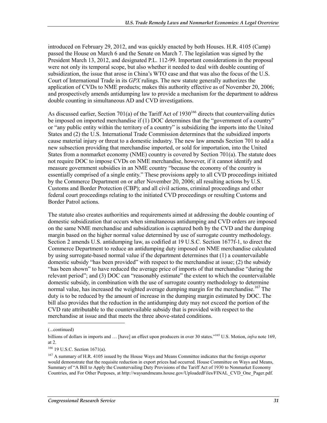introduced on February 29, 2012, and was quickly enacted by both Houses. H.R. 4105 (Camp) passed the House on March 6 and the Senate on March 7. The legislation was signed by the President March 13, 2012, and designated P.L. 112-99. Important considerations in the proposal were not only its temporal scope, but also whether it needed to deal with double counting of subsidization, the issue that arose in China's WTO case and that was also the focus of the U.S. Court of International Trade in its *GPX* rulings. The new statute generally authorizes the application of CVDs to NME products; makes this authority effective as of November 20, 2006; and prospectively amends antidumping law to provide a mechanism for the department to address double counting in simultaneous AD and CVD investigations.

As discussed earlier, Section 701(a) of the Tariff Act of  $1930^{166}$  directs that countervailing duties be imposed on imported merchandise if (1) DOC determines that the "government of a country" or "any public entity within the territory of a country" is subsidizing the imports into the United States and (2) the U.S. International Trade Commission determines that the subsidized imports cause material injury or threat to a domestic industry. The new law amends Section 701 to add a new subsection providing that merchandise imported, or sold for importation, into the United States from a nonmarket economy (NME) country is covered by Section 701(a). The statute does not require DOC to impose CVDs on NME merchandise, however, if it cannot identify and measure government subsidies in an NME country "because the economy of the country is essentially comprised of a single entity." These provisions apply to all CVD proceedings initiated by the Commerce Department on or after November 20, 2006; all resulting actions by U.S. Customs and Border Protection (CBP); and all civil actions, criminal proceedings and other federal court proceedings relating to the initiated CVD proceedings or resulting Customs and Border Patrol actions.

The statute also creates authorities and requirements aimed at addressing the double counting of domestic subsidization that occurs when simultaneous antidumping and CVD orders are imposed on the same NME merchandise and subsidization is captured both by the CVD and the dumping margin based on the higher normal value determined by use of surrogate country methodology. Section 2 amends U.S. antidumping law, as codified at 19 U.S.C. Section 1677f-1, to direct the Commerce Department to reduce an antidumping duty imposed on NME merchandise calculated by using surrogate-based normal value if the department determines that (1) a countervailable domestic subsidy "has been provided" with respect to the merchandise at issue; (2) the subsidy "has been shown" to have reduced the average price of imports of that merchandise "during the relevant period"; and (3) DOC can "reasonably estimate" the extent to which the countervailable domestic subsidy, in combination with the use of surrogate country methodology to determine normal value, has increased the weighted average dumping margin for the merchandise.<sup>167</sup> The duty is to be reduced by the amount of increase in the dumping margin estimated by DOC. The bill also provides that the reduction in the antidumping duty may not exceed the portion of the CVD rate attributable to the countervailable subsidy that is provided with respect to the merchandise at issue and that meets the three above-stated conditions.

<sup>(...</sup>continued)

billions of dollars in imports and … [have] an effect upon producers in over 30 states."165 U.S. Motion, *infra* note 169, at 2.

<sup>166 19</sup> U.S.C. Section 1671(a).

<sup>&</sup>lt;sup>167</sup> A summary of H.R. 4105 issued by the House Ways and Means Committee indicates that the foreign exporter would demonstrate that the requisite reduction in export prices had occurred. House Committee on Ways and Means, Summary of "A Bill to Apply the Countervailing Duty Provisions of the Tariff Act of 1930 to Nonmarket Economy Countries, and For Other Purposes, at http://waysandmeans.house.gov/UploadedFiles/FINAL\_CVD\_One\_Pager.pdf.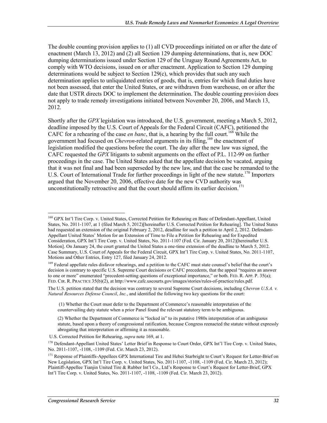The double counting provision applies to (1) all CVD proceedings initiated on or after the date of enactment (March 13, 2012) and (2) all Section 129 dumping determinations, that is, new DOC dumping determinations issued under Section 129 of the Uruguay Round Agreements Act, to comply with WTO decisions, issued on or after enactment. Application to Section 129 dumping determinations would be subject to Section 129(c), which provides that such any such determination applies to unliquidated entries of goods, that is, entries for which final duties have not been assessed, that enter the United States, or are withdrawn from warehouse, on or after the date that USTR directs DOC to implement the determination. The double counting provision does not apply to trade remedy investigations initiated between November 20, 2006, and March 13, 2012.

Shortly after the *GPX* legislation was introduced, the U.S. government, meeting a March 5, 2012, deadline imposed by the U.S. Court of Appeals for the Federal Circuit (CAFC), petitioned the CAFC for a rehearing of the case *en banc*, that is, a hearing by the full court.<sup>168</sup> While the government had focused on *Chevron*-related arguments in its filing,169 the enactment of legislation modified the questions before the court. The day after the new law was signed, the CAFC requested the *GPX* litigants to submit arguments on the effect of P.L. 112-99 on further proceedings in the case. The United States asked that the appellate decision be vacated, arguing that it was not final and had been superseded by the new law, and that the case be remanded to the U.S. Court of International Trade for further proceedings in light of the new statute.<sup>170</sup> Importers argued that the November 20, 2006, effective date for the new CVD authority was unconstitutionally retroactive and that the court should affirm its earlier decision.<sup>171</sup>

<sup>1</sup> 168 GPX Int'l Tire Corp. v. United States, Corrected Petition for Rehearing en Banc of Defendant-Appellant, United States, No. 2011-1107, at 1 (filed March 5, 2012)[hereinafter U.S. Corrected Petition for Rehearing]. The United States had requested an extension of the original February 2, 2012, deadline for such a petition to April 2, 2012. Defendant-Appellant United States' Motion for an Extension of Time to File a Petition for Rehearing and for Expedited Consideration, GPX Int'l Tire Corp. v. United States, No. 2011-1107 (Fed. Cir. January 20, 2012)[hereinafter U.S. Motion]. On January 24, the court granted the United States a one-time extension of the deadline to March 5, 2012. Case Summary, U.S. Court of Appeals for the Federal Circuit, GPX Int'l Tire Corp. v. United States, No. 2011-1107, Motions and Other Entries, Entry 127, filed January 24, 2012.

<sup>&</sup>lt;sup>169</sup> Federal appellate rules disfavor rehearings, and a petition to the CAFC must state counsel's belief that the court's decision is contrary to specific U.S. Supreme Court decisions or CAFC precedents, that the appeal "requires an answer to one or more" enumerated "precedent-setting questions of exceptional importance," or both. FED. R. APP. P. 35(a); FED. CIR. R. PRACTICE 35(b)(2), at http://www.cafc.uscourts.gov/images/stories/rules-of-practice/rules.pdf.

The U.S. petition stated that the decision was contrary to several Supreme Court decisions, including *Chevron U.S.A. v. Natural Resources Defense Council*, *Inc.*, and identified the following two key questions for the court:

<sup>(1)</sup> Whether the Court must defer to the Department of Commerce's reasonable interpretation of the countervailing duty statute when a prior Panel found the relevant statutory term to be ambiguous.

<sup>(2)</sup> Whether the Department of Commerce is "locked in" to its putative 1980s interpretation of an ambiguous statute, based upon a theory of congressional ratification, because Congress reenacted the statute without expressly abrogating that interpretation or affirming it as reasonable.

U.S. Corrected Petition for Rehearing, *supra* note 169, at 1.

<sup>&</sup>lt;sup>170</sup> Defendant-Appellant United States' Letter Brief in Response to Court Order, GPX Int'l Tire Corp. v. United States, No. 2011-1107, -1108, -1109 (Fed. Cir. March 23, 2012).

<sup>&</sup>lt;sup>171</sup> Response of Plaintiffs-Appellees GPX International Tire and Hebei Starbright to Court's Request for Letter-Brief on New Legislation, GPX Int'l Tire Corp. v. United States, No. 2011-1107, -1108, -1109 (Fed. Cir. March 23, 2012); Plaintiff-Appellee Tianjin United Tire & Rubber Int'l Co., Ltd's Response to Court's Request for Letter-Brief, GPX Int'l Tire Corp. v. United States, No. 2011-1107, -1108, -1109 (Fed. Cir. March 23, 2012).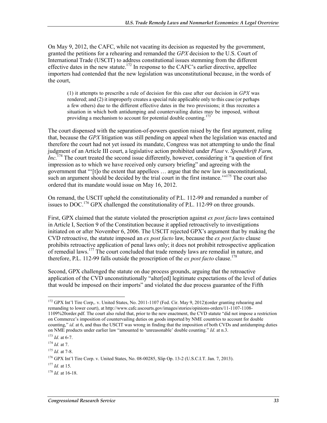On May 9, 2012, the CAFC, while not vacating its decision as requested by the government, granted the petitions for a rehearing and remanded the *GPX* decision to the U.S. Court of International Trade (USCIT) to address constitutional issues stemming from the different effective dates in the new statute.<sup>172</sup> In response to the CAFC's earlier directive, appellee importers had contended that the new legislation was unconstitutional because, in the words of the court,

(1) it attempts to prescribe a rule of decision for this case after our decision in *GPX* was rendered; and (2) it improperly creates a special rule applicable only to this case (or perhaps a few others) due to the different effective dates in the two provisions; it thus recreates a situation in which both antidumping and countervailing duties may be imposed, without providing a mechanism to account for potential double counting.<sup>173</sup>

The court dispensed with the separation-of-powers question raised by the first argument, ruling that, because the *GPX* litigation was still pending on appeal when the legislation was enacted and therefore the court had not yet issued its mandate, Congress was not attempting to undo the final judgment of an Article III court, a legislative action prohibited under *Plaut* v. *Spendthrift Farm, Inc.*174 The court treated the second issue differently, however, considering it "a question of first impression as to which we have received only cursory briefing" and agreeing with the government that "'[t]o the extent that appellees … argue that the new law is unconstitutional, such an argument should be decided by the trial court in the first instance."<sup>175</sup> The court also ordered that its mandate would issue on May 16, 2012.

On remand, the USCIT upheld the constitutionality of P.L. 112-99 and remanded a number of issues to  $DOC^{176}$  GPX challenged the constitutionality of P.L. 112-99 on three grounds.

First, GPX claimed that the statute violated the proscription against *ex post facto* laws contained in Article I, Section 9 of the Constitution because it applied retroactively to investigations initiated on or after November 6, 2006. The USCIT rejected GPX's argument that by making the CVD retroactive, the statute imposed an *ex post facto* law, because the *ex post facto* clause prohibits retroactive application of penal laws only; it does not prohibit retrospective application of remedial laws.<sup>177</sup> The court concluded that trade remedy laws are remedial in nature, and therefore, P.L. 112-99 falls outside the proscription of the *ex post facto* clause.<sup>178</sup>

Second, GPX challenged the statute on due process grounds, arguing that the retroactive application of the CVD unconstitutionally "alter[ed] legitimate expectations of the level of duties that would be imposed on their imports" and violated the due process guarantee of the Fifth

<sup>&</sup>lt;sup>172</sup> GPX Int'l Tire Corp,. v. United States, No. 2011-1107 (Fed. Cir. May 9, 2012)(order granting rehearing and remanding to lower court), at http://www.cafc.uscourts.gov/images/stories/opinions-orders/11-1107-1108- 1109%20order.pdf. The court also ruled that, prior to the new enactment, the CVD statute "did not impose a restriction on Commerce's imposition of countervailing duties on goods imported by NME countries to account for double counting," *id*. at 6, and thus the USCIT was wrong in finding that the imposition of both CVDs and antidumping duties on NME products under earlier law "amounted to 'unreasonable' double counting." *Id*. at n.3.

<sup>173</sup> *Id*. at 6-7.

<sup>174</sup> *Id.* at 7.

 $175$  *Id.* at 7-8.

<sup>176</sup> GPX Int'l Tire Corp. v. United States, No. 08-00285, Slip Op. 13-2 (U.S.C.I.T. Jan. 7, 2013).

<sup>177</sup> *Id.* at 15.

<sup>178</sup> *Id.* at 16-18.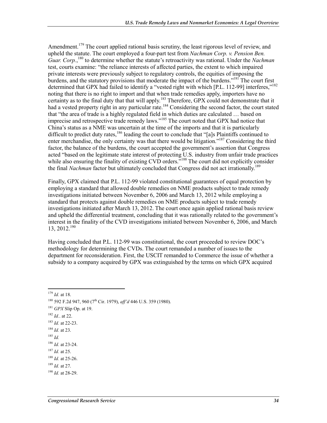Amendment.<sup>179</sup> The court applied rational basis scrutiny, the least rigorous level of review, and upheld the statute. The court employed a four-part test from *Nachman Corp. v. Pension Ben.*  Guar. Corp.,<sup>180</sup> to determine whether the statute's retroactivity was rational. Under the *Nachman* test, courts examine: "the reliance interests of affected parties, the extent to which impaired private interests were previously subject to regulatory controls, the equities of imposing the burdens, and the statutory provisions that moderate the impact of the burdens."<sup>181</sup> The court first determined that GPX had failed to identify a "vested right with which [P.L. 112-99] interferes,"<sup>182</sup> noting that there is no right to import and that when trade remedies apply, importers have no certainty as to the final duty that that will apply.<sup>183</sup> Therefore, GPX could not demonstrate that it had a vested property right in any particular rate.<sup>184</sup> Considering the second factor, the court stated that "the area of trade is a highly regulated field in which duties are calculated … based on imprecise and retrospective trade remedy laws."185 The court noted that GPX had notice that China's status as a NME was uncertain at the time of the imports and that it is particularly difficult to predict duty rates,<sup>186</sup> leading the court to conclude that "[a]s Plaintiffs continued to enter merchandise, the only certainty was that there would be litigation."<sup>187</sup> Considering the third factor, the balance of the burdens, the court accepted the government's assertion that Congress acted "based on the legitimate state interest of protecting U.S. industry from unfair trade practices while also ensuring the finality of existing CVD orders."<sup>188</sup> The court did not explicitly consider the final *Nachman* factor but ultimately concluded that Congress did not act irrationally.<sup>189</sup>

Finally, GPX claimed that P.L. 112-99 violated constitutional guarantees of equal protection by employing a standard that allowed double remedies on NME products subject to trade remedy investigations initiated between November 6, 2006 and March 13, 2012 while employing a standard that protects against double remedies on NME products subject to trade remedy investigations initiated after March 13, 2012. The court once again applied rational basis review and upheld the differential treatment, concluding that it was rationally related to the government's interest in the finality of the CVD investigations initiated between November 6, 2006, and March  $13, 2012$ <sup>190</sup>

Having concluded that P.L. 112-99 was constitutional, the court proceeded to review DOC's methodology for determining the CVDs. The court remanded a number of issues to the department for reconsideration. First, the USCIT remanded to Commerce the issue of whether a subsidy to a company acquired by GPX was extinguished by the terms on which GPX acquired

- <sup>181</sup> *GPX* Slip Op. at 19.
- <sup>182</sup> *Id.*. at 22.
- <sup>183</sup> *Id.* at 22-23.
- <sup>184</sup> *Id.* at 23.
- <sup>185</sup> *Id.*
- <sup>186</sup> *Id.* at 23-24.
- <sup>187</sup> *Id.* at 25.

<sup>1</sup> <sup>179</sup> *Id.* at 18.

<sup>180 592</sup> F.2d 947, 960 (7th Cir. 1979), *aff'd* 446 U.S. 359 (1980).

<sup>188</sup> *Id.* at 25-26.

<sup>189</sup> *Id.* at 27.

<sup>190</sup> *Id.* at 28-29.